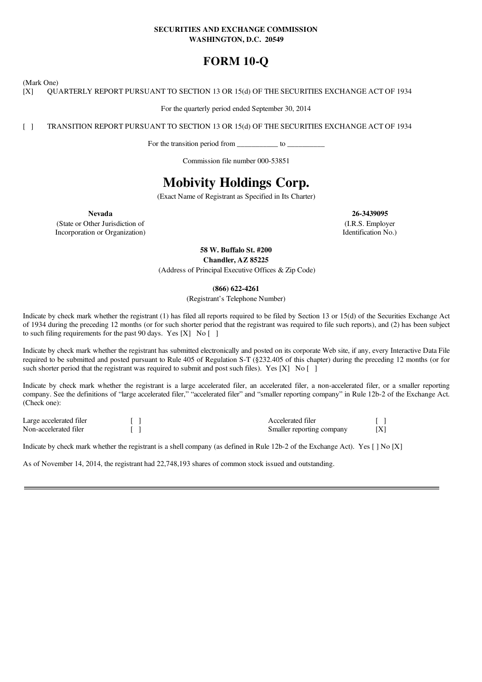# SECURITIES AND EXCHANGE COMMISSION WASHINGTON, D.C. 20549

# FORM 10-Q

(Mark One)

[X] QUARTERLY REPORT PURSUANT TO SECTION 13 OR 15(d) OF THE SECURITIES EXCHANGE ACT OF 1934

For the quarterly period ended September 30, 2014

[ ] TRANSITION REPORT PURSUANT TO SECTION 13 OR 15(d) OF THE SECURITIES EXCHANGE ACT OF 1934

For the transition period from \_\_\_\_\_\_\_\_\_\_\_ to \_\_\_\_\_\_\_\_\_\_

Commission file number 000-53851

# Mobivity Holdings Corp.

(Exact Name of Registrant as Specified in Its Charter)

(State or Other Jurisdiction of (I.R.S. Employer Incorporation or Organization) Identification No.)

Nevada 26-3439095

58 W. Buffalo St. #200 Chandler, AZ 85225

(Address of Principal Executive Offices & Zip Code)

## (866) 622-4261

(Registrant's Telephone Number)

Indicate by check mark whether the registrant (1) has filed all reports required to be filed by Section 13 or 15(d) of the Securities Exchange Act of 1934 during the preceding 12 months (or for such shorter period that the registrant was required to file such reports), and (2) has been subject to such filing requirements for the past 90 days. Yes [X] No [ ]

Indicate by check mark whether the registrant has submitted electronically and posted on its corporate Web site, if any, every Interactive Data File required to be submitted and posted pursuant to Rule 405 of Regulation S-T (§232.405 of this chapter) during the preceding 12 months (or for such shorter period that the registrant was required to submit and post such files). Yes  $[X]$  No  $[ ]$ 

Indicate by check mark whether the registrant is a large accelerated filer, an accelerated filer, a non-accelerated filer, or a smaller reporting company. See the definitions of "large accelerated filer," "accelerated filer" and "smaller reporting company" in Rule 12b-2 of the Exchange Act. (Check one):

| Large accelerated filer | Accelerated filer         |  |
|-------------------------|---------------------------|--|
| Non-accelerated filer   | Smaller reporting company |  |

Indicate by check mark whether the registrant is a shell company (as defined in Rule 12b-2 of the Exchange Act). Yes  $[ \ ]$  No  $[ \ X ]$ 

As of November 14, 2014, the registrant had 22,748,193 shares of common stock issued and outstanding.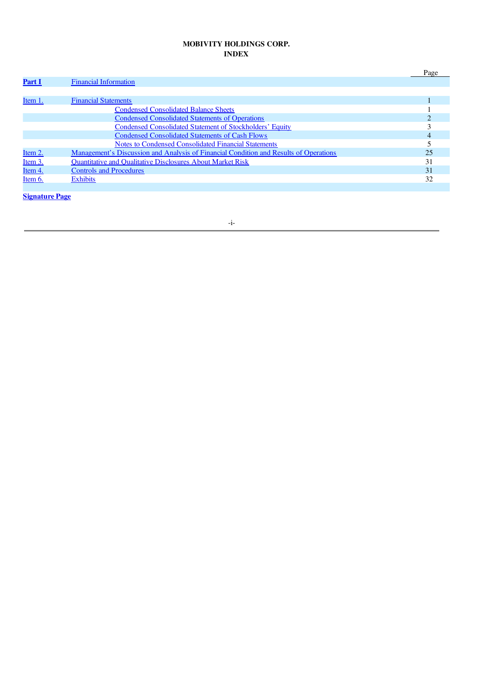# <span id="page-1-0"></span>MOBIVITY HOLDINGS CORP. INDEX

|               |                                                                                       | Page |
|---------------|---------------------------------------------------------------------------------------|------|
| <b>Part I</b> | <b>Financial Information</b>                                                          |      |
|               |                                                                                       |      |
| Item 1.       | <b>Financial Statements</b>                                                           |      |
|               | <b>Condensed Consolidated Balance Sheets</b>                                          |      |
|               | <b>Condensed Consolidated Statements of Operations</b>                                |      |
|               | Condensed Consolidated Statement of Stockholders' Equity                              |      |
|               | <b>Condensed Consolidated Statements of Cash Flows</b>                                |      |
|               | <b>Notes to Condensed Consolidated Financial Statements</b>                           |      |
| Item 2.       | Management's Discussion and Analysis of Financial Condition and Results of Operations | 25   |
| Item 3.       | <b>Quantitative and Qualitative Disclosures About Market Risk</b>                     | 31   |
| Item 4.       | <b>Controls and Procedures</b>                                                        | 31   |
| Item 6.       | <b>Exhibits</b>                                                                       | 32   |
|               |                                                                                       |      |

[Signature](#page-34-0) Page

-i-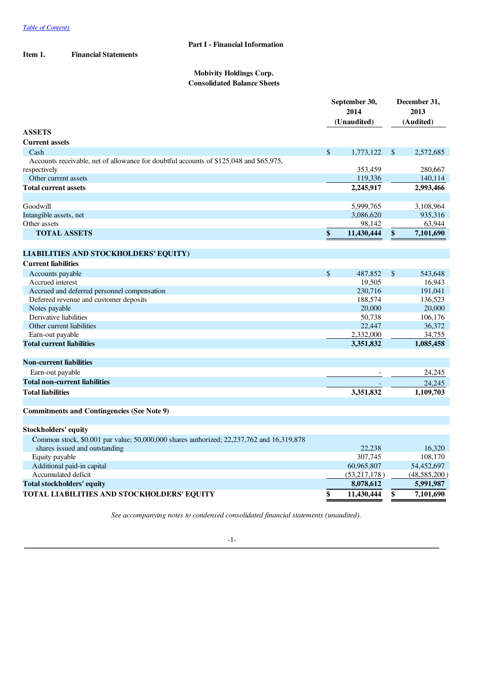# <span id="page-2-1"></span><span id="page-2-0"></span>Part I - Financial Information

Item 1. Financial Statements

# <span id="page-2-2"></span>Mobivity Holdings Corp. Consolidated Balance Sheets

|                                                                                                                           | September 30,<br>2014<br>(Unaudited) |              |               | December 31,<br>2013<br>(Audited) |
|---------------------------------------------------------------------------------------------------------------------------|--------------------------------------|--------------|---------------|-----------------------------------|
| <b>ASSETS</b>                                                                                                             |                                      |              |               |                                   |
| <b>Current assets</b>                                                                                                     |                                      |              |               |                                   |
| Cash                                                                                                                      | \$                                   | 1,773,122    | $\mathbb{S}$  | 2,572,685                         |
| Accounts receivable, net of allowance for doubtful accounts of \$125,048 and \$65,975,                                    |                                      |              |               |                                   |
| respectively                                                                                                              |                                      | 353,459      |               | 280,667                           |
| Other current assets                                                                                                      |                                      | 119,336      |               | 140,114                           |
| <b>Total current assets</b>                                                                                               |                                      | 2,245,917    |               | 2,993,466                         |
| Goodwill                                                                                                                  |                                      | 5,999,765    |               | 3,108,964                         |
| Intangible assets, net                                                                                                    |                                      | 3,086,620    |               | 935,316                           |
| Other assets                                                                                                              |                                      | 98,142       |               | 63,944                            |
| <b>TOTAL ASSETS</b>                                                                                                       | \$                                   | 11.430.444   | \$            | 7,101,690                         |
| <b>LIABILITIES AND STOCKHOLDERS' EQUITY)</b>                                                                              |                                      |              |               |                                   |
| <b>Current liabilities</b>                                                                                                |                                      |              |               |                                   |
| Accounts payable                                                                                                          | \$                                   | 487.852      | $\mathcal{S}$ | 543.648                           |
| Accrued interest                                                                                                          |                                      | 19,505       |               | 16,943                            |
| Accrued and deferred personnel compensation                                                                               |                                      | 230,716      |               | 191.041                           |
| Deferred revenue and customer deposits                                                                                    |                                      | 188,574      |               | 136,523                           |
| Notes payable                                                                                                             |                                      | 20,000       |               | 20,000                            |
| Derivative liabilities                                                                                                    |                                      | 50.738       |               | 106.176                           |
| Other current liabilities                                                                                                 |                                      | 22,447       |               | 36,372                            |
| Earn-out payable                                                                                                          |                                      | 2,332,000    |               | 34,755                            |
| <b>Total current liabilities</b>                                                                                          |                                      | 3,351,832    |               | 1,085,458                         |
| <b>Non-current liabilities</b>                                                                                            |                                      |              |               |                                   |
| Earn-out payable                                                                                                          |                                      |              |               | 24,245                            |
| <b>Total non-current liabilities</b>                                                                                      |                                      |              |               | 24,245                            |
| <b>Total liabilities</b>                                                                                                  |                                      | 3,351,832    |               | 1,109,703                         |
| <b>Commitments and Contingencies (See Note 9)</b>                                                                         |                                      |              |               |                                   |
|                                                                                                                           |                                      |              |               |                                   |
| <b>Stockholders' equity</b>                                                                                               |                                      |              |               |                                   |
| Common stock, \$0.001 par value; 50,000,000 shares authorized; 22,237,762 and 16,319,878<br>shares issued and outstanding |                                      | 22,238       |               | 16,320                            |
| Equity payable                                                                                                            |                                      | 307,745      |               | 108,170                           |
| Additional paid-in capital                                                                                                |                                      | 60,965,807   |               | 54,452,697                        |
| Accumulated deficit                                                                                                       |                                      | (53,217,178) |               | (48,585,200)                      |
| <b>Total stockholders' equity</b>                                                                                         |                                      | 8,078,612    |               | 5,991,987                         |
| TOTAL LIABILITIES AND STOCKHOLDERS' EQUITY                                                                                | \$                                   | 11,430,444   | \$            | 7,101,690                         |

*See accompanying notes to condensed consolidated financial statements (unaudited).*

# -1-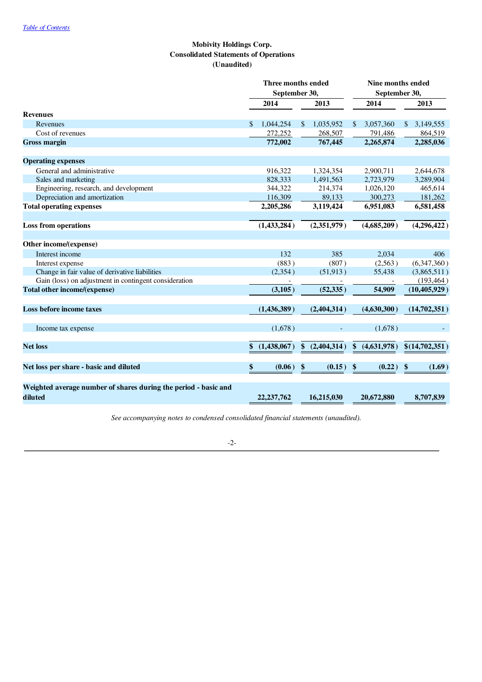# <span id="page-3-0"></span>Mobivity Holdings Corp. Consolidated Statements of Operations (Unaudited)

|                                                                            | Three months ended<br>September 30, |              |                   | <b>Nine months ended</b><br>September 30, |                   |                          |    |                |
|----------------------------------------------------------------------------|-------------------------------------|--------------|-------------------|-------------------------------------------|-------------------|--------------------------|----|----------------|
|                                                                            |                                     | 2014         |                   | 2013                                      |                   | 2014                     |    | 2013           |
| <b>Revenues</b>                                                            |                                     |              |                   |                                           |                   |                          |    |                |
| Revenues                                                                   | \$                                  | 1.044.254    | $\mathbb{S}$      | 1,035,952                                 | \$                | 3,057,360                | \$ | 3,149,555      |
| Cost of revenues                                                           |                                     | 272,252      |                   | 268,507                                   |                   | 791,486                  |    | 864,519        |
| <b>Gross margin</b>                                                        |                                     | 772,002      |                   | 767,445                                   |                   | 2,265,874                |    | 2,285,036      |
| <b>Operating expenses</b>                                                  |                                     |              |                   |                                           |                   |                          |    |                |
| General and administrative                                                 |                                     | 916,322      |                   | 1,324,354                                 |                   | 2,900,711                |    | 2,644,678      |
| Sales and marketing                                                        |                                     | 828,333      |                   | 1,491,563                                 |                   | 2,723,979                |    | 3,289,904      |
| Engineering, research, and development                                     |                                     | 344,322      |                   | 214,374                                   |                   | 1,026,120                |    | 465,614        |
| Depreciation and amortization                                              |                                     | 116,309      |                   | 89,133                                    |                   | 300,273                  |    | 181,262        |
| <b>Total operating expenses</b>                                            |                                     | 2,205,286    |                   | 3,119,424                                 |                   | 6,951,083                |    | 6,581,458      |
|                                                                            |                                     |              |                   |                                           |                   |                          |    |                |
| <b>Loss from operations</b>                                                |                                     | (1,433,284)  |                   | (2,351,979)                               |                   | (4,685,209)              |    | (4,296,422)    |
|                                                                            |                                     |              |                   |                                           |                   |                          |    |                |
| Other income/(expense)                                                     |                                     |              |                   |                                           |                   |                          |    |                |
| Interest income                                                            |                                     | 132          |                   | 385                                       |                   | 2.034                    |    | 406            |
| Interest expense                                                           |                                     | (883)        |                   | (807)                                     |                   | (2,563)                  |    | (6,347,360)    |
| Change in fair value of derivative liabilities                             |                                     | (2,354)      |                   | (51,913)                                  |                   | 55,438                   |    | (3,865,511)    |
| Gain (loss) on adjustment in contingent consideration                      |                                     |              |                   |                                           |                   | $\overline{\phantom{a}}$ |    | (193, 464)     |
| <b>Total other income/(expense)</b>                                        |                                     | (3,105)      |                   | (52, 335)                                 |                   | 54,909                   |    | (10, 405, 929) |
| <b>Loss before income taxes</b>                                            |                                     | (1,436,389)  |                   | (2,404,314)                               |                   | (4,630,300)              |    | (14,702,351)   |
|                                                                            |                                     |              |                   |                                           |                   |                          |    |                |
| Income tax expense                                                         |                                     | (1,678)      |                   |                                           |                   | (1,678)                  |    |                |
| <b>Net loss</b>                                                            | \$                                  | (1,438,067)  | \$                | (2,404,314)                               | $\frac{1}{2}$     | (4,631,978)              |    | \$(14,702,351) |
| Net loss per share - basic and diluted                                     | \$                                  | (0.06)       | $\boldsymbol{\$}$ | (0.15)                                    | $\boldsymbol{\$}$ | (0.22)                   | \$ | (1.69)         |
| Weighted average number of shares during the period - basic and<br>diluted |                                     | 22, 237, 762 |                   | 16,215,030                                |                   | 20,672,880               |    | 8,707,839      |

*See accompanying notes to condensed consolidated financial statements (unaudited).*

# -2-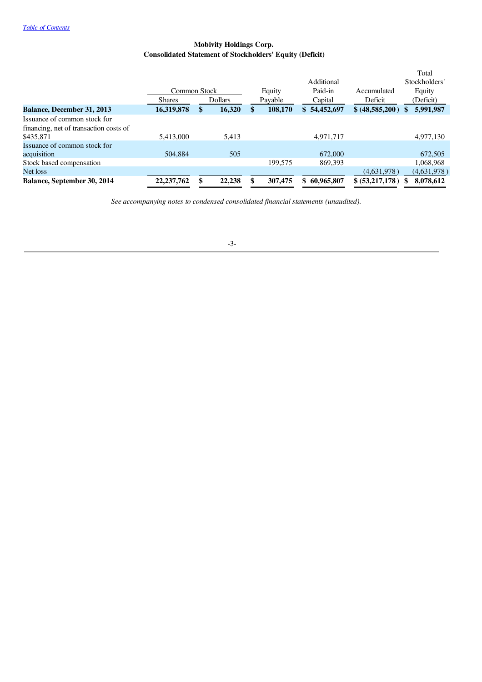# <span id="page-4-0"></span>Mobivity Holdings Corp. Consolidated Statement of Stockholders' Equity (Deficit)

|                                                                        | Common Stock<br><b>Shares</b> |   | Dollars |   | Equity<br>Payable | Additional<br>Paid-in<br>Capital | Accumulated<br>Deficit | Total<br>Stockholders'<br>Equity<br>(Deficit) |
|------------------------------------------------------------------------|-------------------------------|---|---------|---|-------------------|----------------------------------|------------------------|-----------------------------------------------|
| <b>Balance, December 31, 2013</b>                                      | 16,319,878                    | S | 16,320  | S | 108,170           | \$54,452,697                     | \$ (48,585,200)        | 5,991,987<br>\$                               |
| Issuance of common stock for<br>financing, net of transaction costs of |                               |   |         |   |                   |                                  |                        |                                               |
| \$435,871                                                              | 5,413,000                     |   | 5,413   |   |                   | 4,971,717                        |                        | 4,977,130                                     |
| Issuance of common stock for<br>acquisition                            | 504.884                       |   | 505     |   |                   | 672,000                          |                        | 672,505                                       |
| Stock based compensation                                               |                               |   |         |   | 199,575           | 869,393                          |                        | 1,068,968                                     |
| Net loss                                                               |                               |   |         |   |                   |                                  | (4,631,978)            | (4,631,978)                                   |
| Balance, September 30, 2014                                            | 22, 237, 762                  |   | 22,238  |   | 307,475           | 60,965,807<br>\$.                | \$ (53,217,178)        | 8,078,612<br>S                                |

*See accompanying notes to condensed consolidated financial statements (unaudited).*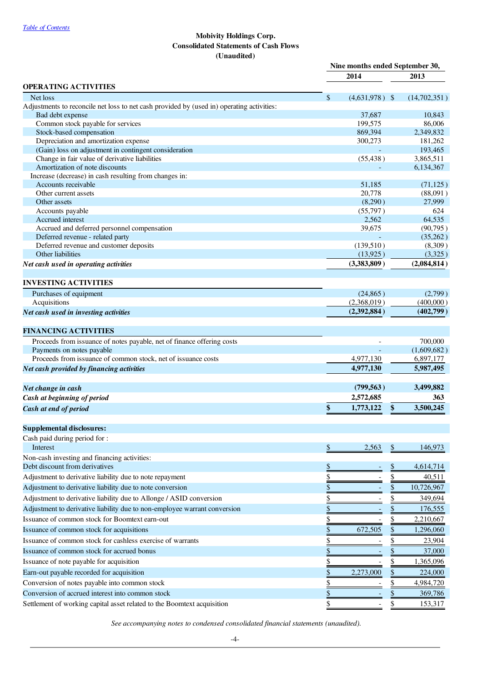# <span id="page-5-0"></span>Mobivity Holdings Corp. Consolidated Statements of Cash Flows (Unaudited)

|                                                                                           | Nine months ended September 30, |               |              |  |
|-------------------------------------------------------------------------------------------|---------------------------------|---------------|--------------|--|
|                                                                                           | 2014                            |               | 2013         |  |
| <b>OPERATING ACTIVITIES</b>                                                               |                                 |               |              |  |
| Net loss                                                                                  | \$<br>$(4,631,978)$ \$          |               | (14,702,351) |  |
| Adjustments to reconcile net loss to net cash provided by (used in) operating activities: |                                 |               |              |  |
| Bad debt expense                                                                          | 37.687                          |               | 10,843       |  |
| Common stock payable for services                                                         | 199,575                         |               | 86,006       |  |
| Stock-based compensation                                                                  | 869,394                         |               | 2,349,832    |  |
| Depreciation and amortization expense                                                     | 300,273                         |               | 181,262      |  |
| (Gain) loss on adjustment in contingent consideration                                     |                                 |               | 193,465      |  |
| Change in fair value of derivative liabilities                                            | (55, 438)                       |               | 3,865,511    |  |
| Amortization of note discounts                                                            |                                 |               | 6,134,367    |  |
| Increase (decrease) in cash resulting from changes in:<br>Accounts receivable             | 51,185                          |               | (71, 125)    |  |
| Other current assets                                                                      | 20,778                          |               | (88,091)     |  |
| Other assets                                                                              | (8,290)                         |               | 27,999       |  |
| Accounts payable                                                                          | (55,797)                        |               | 624          |  |
| Accrued interest                                                                          | 2,562                           |               | 64,535       |  |
| Accrued and deferred personnel compensation                                               | 39,675                          |               | (90, 795)    |  |
| Deferred revenue - related party                                                          |                                 |               | (35,262)     |  |
| Deferred revenue and customer deposits                                                    | (139,510)                       |               | (8,309)      |  |
| Other liabilities                                                                         | (13, 925)                       |               | (3,325)      |  |
| Net cash used in operating activities                                                     | (3,383,809)                     |               | (2,084,814)  |  |
|                                                                                           |                                 |               |              |  |
| <b>INVESTING ACTIVITIES</b>                                                               |                                 |               |              |  |
| Purchases of equipment                                                                    | (24, 865)                       |               | (2,799)      |  |
| Acquisitions                                                                              | (2,368,019)                     |               | (400,000)    |  |
| Net cash used in investing activities                                                     | (2,392,884)                     |               | (402,799)    |  |
|                                                                                           |                                 |               |              |  |
| <b>FINANCING ACTIVITIES</b>                                                               |                                 |               |              |  |
| Proceeds from issuance of notes payable, net of finance offering costs                    |                                 |               | 700,000      |  |
| Payments on notes payable                                                                 |                                 |               | (1,609,682)  |  |
| Proceeds from issuance of common stock, net of issuance costs                             | 4,977,130                       |               | 6,897,177    |  |
| Net cash provided by financing activities                                                 | 4,977,130                       |               | 5,987,495    |  |
| Net change in cash                                                                        | (799, 563)                      |               | 3,499,882    |  |
|                                                                                           | 2,572,685                       |               | 363          |  |
| Cash at beginning of period                                                               |                                 |               |              |  |
| Cash at end of period                                                                     | \$<br>1,773,122                 | \$            | 3,500,245    |  |
| <b>Supplemental disclosures:</b>                                                          |                                 |               |              |  |
| Cash paid during period for :                                                             |                                 |               |              |  |
| Interest                                                                                  | \$<br>2,563                     | \$            | 146,973      |  |
| Non-cash investing and financing activities:                                              |                                 |               |              |  |
| Debt discount from derivatives                                                            | \$                              | \$            | 4,614,714    |  |
| Adjustment to derivative liability due to note repayment                                  |                                 |               |              |  |
|                                                                                           | \$                              | \$            | 40,511       |  |
| Adjustment to derivative liability due to note conversion                                 | \$                              | $\frac{1}{2}$ | 10,726,967   |  |
| Adjustment to derivative liability due to Allonge / ASID conversion                       |                                 | \$            | 349,694      |  |
| Adjustment to derivative liability due to non-employee warrant conversion                 | \$                              | \$            | 176,555      |  |
| Issuance of common stock for Boomtext earn-out                                            |                                 | \$            | 2,210,667    |  |
| Issuance of common stock for acquisitions                                                 | \$<br>672,505                   | \$            | 1,296,060    |  |
| Issuance of common stock for cashless exercise of warrants                                | \$                              | \$            | 23,904       |  |
|                                                                                           |                                 |               |              |  |
| Issuance of common stock for accrued bonus                                                | \$                              | \$            | 37,000       |  |
| Issuance of note payable for acquisition                                                  |                                 | <u>\$</u>     | 1,365,096    |  |
| Earn-out payable recorded for acquisition                                                 | \$<br>2,273,000                 | \$            | 224,000      |  |
| Conversion of notes payable into common stock                                             |                                 | \$            | 4,984,720    |  |
| Conversion of accrued interest into common stock                                          | \$                              | \$            | 369,786      |  |
| Settlement of working capital asset related to the Boomtext acquisition                   | \$                              | \$            | 153,317      |  |
|                                                                                           |                                 |               |              |  |

*See accompanying notes to condensed consolidated financial statements (unaudited).*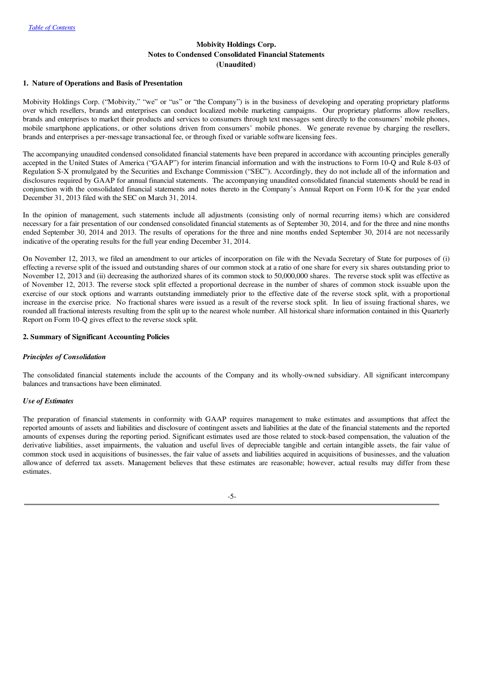# <span id="page-6-0"></span>Mobivity Holdings Corp. Notes to Condensed Consolidated Financial Statements (Unaudited)

#### 1. Nature of Operations and Basis of Presentation

Mobivity Holdings Corp. ("Mobivity," "we" or "us" or "the Company") is in the business of developing and operating proprietary platforms over which resellers, brands and enterprises can conduct localized mobile marketing campaigns. Our proprietary platforms allow resellers, brands and enterprises to market their products and services to consumers through text messages sent directly to the consumers' mobile phones, mobile smartphone applications, or other solutions driven from consumers' mobile phones. We generate revenue by charging the resellers, brands and enterprises a per-message transactional fee, or through fixed or variable software licensing fees.

The accompanying unaudited condensed consolidated financial statements have been prepared in accordance with accounting principles generally accepted in the United States of America ("GAAP") for interim financial information and with the instructions to Form 10-Q and Rule 8-03 of Regulation S-X promulgated by the Securities and Exchange Commission ("SEC"). Accordingly, they do not include all of the information and disclosures required by GAAP for annual financial statements. The accompanying unaudited consolidated financial statements should be read in conjunction with the consolidated financial statements and notes thereto in the Company's Annual Report on Form 10-K for the year ended December 31, 2013 filed with the SEC on March 31, 2014.

In the opinion of management, such statements include all adjustments (consisting only of normal recurring items) which are considered necessary for a fair presentation of our condensed consolidated financial statements as of September 30, 2014, and for the three and nine months ended September 30, 2014 and 2013. The results of operations for the three and nine months ended September 30, 2014 are not necessarily indicative of the operating results for the full year ending December 31, 2014.

On November 12, 2013, we filed an amendment to our articles of incorporation on file with the Nevada Secretary of State for purposes of (i) effecting a reverse split of the issued and outstanding shares of our common stock at a ratio of one share for every six shares outstanding prior to November 12, 2013 and (ii) decreasing the authorized shares of its common stock to 50,000,000 shares. The reverse stock split was effective as of November 12, 2013. The reverse stock split effected a proportional decrease in the number of shares of common stock issuable upon the exercise of our stock options and warrants outstanding immediately prior to the effective date of the reverse stock split, with a proportional increase in the exercise price. No fractional shares were issued as a result of the reverse stock split. In lieu of issuing fractional shares, we rounded all fractional interests resulting from the split up to the nearest whole number. All historical share information contained in this Quarterly Report on Form 10-Q gives effect to the reverse stock split.

#### 2. Summary of Significant Accounting Policies

#### *Principles of Consolidation*

The consolidated financial statements include the accounts of the Company and its wholly-owned subsidiary. All significant intercompany balances and transactions have been eliminated.

#### *Use of Estimates*

The preparation of financial statements in conformity with GAAP requires management to make estimates and assumptions that affect the reported amounts of assets and liabilities and disclosure of contingent assets and liabilities at the date of the financial statements and the reported amounts of expenses during the reporting period. Significant estimates used are those related to stock-based compensation, the valuation of the derivative liabilities, asset impairments, the valuation and useful lives of depreciable tangible and certain intangible assets, the fair value of common stock used in acquisitions of businesses, the fair value of assets and liabilities acquired in acquisitions of businesses, and the valuation allowance of deferred tax assets. Management believes that these estimates are reasonable; however, actual results may differ from these estimates.

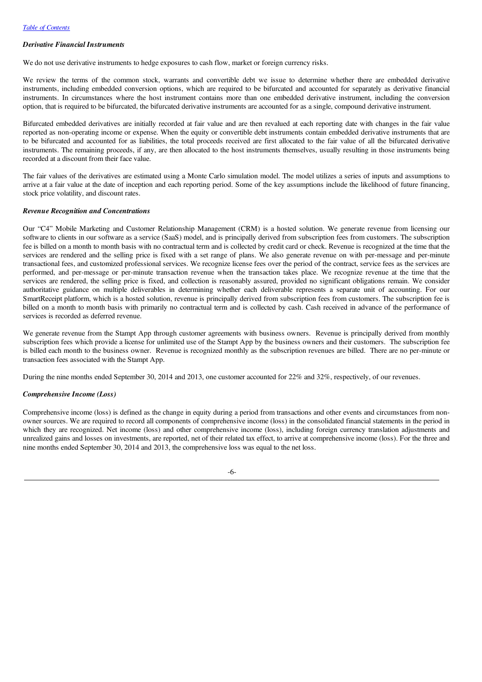#### *Derivative Financial Instruments*

We do not use derivative instruments to hedge exposures to cash flow, market or foreign currency risks.

We review the terms of the common stock, warrants and convertible debt we issue to determine whether there are embedded derivative instruments, including embedded conversion options, which are required to be bifurcated and accounted for separately as derivative financial instruments. In circumstances where the host instrument contains more than one embedded derivative instrument, including the conversion option, that is required to be bifurcated, the bifurcated derivative instruments are accounted for as a single, compound derivative instrument.

Bifurcated embedded derivatives are initially recorded at fair value and are then revalued at each reporting date with changes in the fair value reported as non-operating income or expense. When the equity or convertible debt instruments contain embedded derivative instruments that are to be bifurcated and accounted for as liabilities, the total proceeds received are first allocated to the fair value of all the bifurcated derivative instruments. The remaining proceeds, if any, are then allocated to the host instruments themselves, usually resulting in those instruments being recorded at a discount from their face value.

The fair values of the derivatives are estimated using a Monte Carlo simulation model. The model utilizes a series of inputs and assumptions to arrive at a fair value at the date of inception and each reporting period. Some of the key assumptions include the likelihood of future financing, stock price volatility, and discount rates.

#### *Revenue Recognition and Concentrations*

Our "C4" Mobile Marketing and Customer Relationship Management (CRM) is a hosted solution. We generate revenue from licensing our software to clients in our software as a service (SaaS) model, and is principally derived from subscription fees from customers. The subscription fee is billed on a month to month basis with no contractual term and is collected by credit card or check. Revenue is recognized at the time that the services are rendered and the selling price is fixed with a set range of plans. We also generate revenue on with per-message and per-minute transactional fees, and customized professional services. We recognize license fees over the period of the contract, service fees as the services are performed, and per-message or per-minute transaction revenue when the transaction takes place. We recognize revenue at the time that the services are rendered, the selling price is fixed, and collection is reasonably assured, provided no significant obligations remain. We consider authoritative guidance on multiple deliverables in determining whether each deliverable represents a separate unit of accounting. For our SmartReceipt platform, which is a hosted solution, revenue is principally derived from subscription fees from customers. The subscription fee is billed on a month to month basis with primarily no contractual term and is collected by cash. Cash received in advance of the performance of services is recorded as deferred revenue.

We generate revenue from the Stampt App through customer agreements with business owners. Revenue is principally derived from monthly subscription fees which provide a license for unlimited use of the Stampt App by the business owners and their customers. The subscription fee is billed each month to the business owner. Revenue is recognized monthly as the subscription revenues are billed. There are no per-minute or transaction fees associated with the Stampt App.

During the nine months ended September 30, 2014 and 2013, one customer accounted for 22% and 32%, respectively, of our revenues.

#### *Comprehensive Income (Loss)*

Comprehensive income (loss) is defined as the change in equity during a period from transactions and other events and circumstances from nonowner sources. We are required to record all components of comprehensive income (loss) in the consolidated financial statements in the period in which they are recognized. Net income (loss) and other comprehensive income (loss), including foreign currency translation adjustments and unrealized gains and losses on investments, are reported, net of their related tax effect, to arrive at comprehensive income (loss). For the three and nine months ended September 30, 2014 and 2013, the comprehensive loss was equal to the net loss.

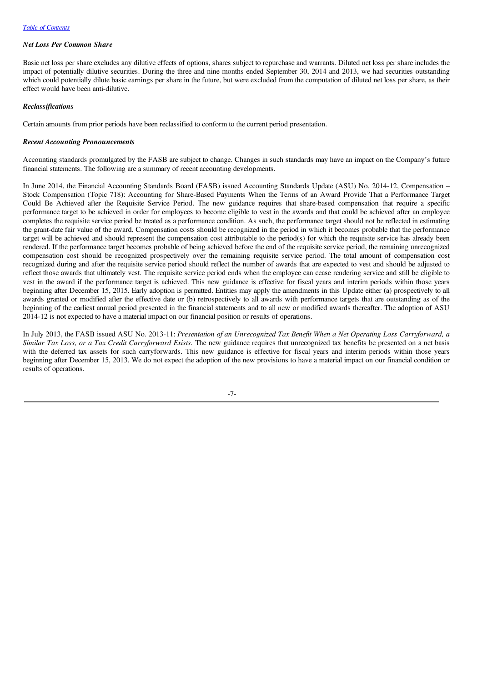#### *Net Loss Per Common Share*

Basic net loss per share excludes any dilutive effects of options, shares subject to repurchase and warrants. Diluted net loss per share includes the impact of potentially dilutive securities. During the three and nine months ended September 30, 2014 and 2013, we had securities outstanding which could potentially dilute basic earnings per share in the future, but were excluded from the computation of diluted net loss per share, as their effect would have been anti-dilutive.

#### *Reclassifications*

Certain amounts from prior periods have been reclassified to conform to the current period presentation.

#### *Recent Accounting Pronouncements*

Accounting standards promulgated by the FASB are subject to change. Changes in such standards may have an impact on the Company's future financial statements. The following are a summary of recent accounting developments.

In June 2014, the Financial Accounting Standards Board (FASB) issued Accounting Standards Update (ASU) No. 2014-12, Compensation – Stock Compensation (Topic 718): Accounting for Share-Based Payments When the Terms of an Award Provide That a Performance Target Could Be Achieved after the Requisite Service Period. The new guidance requires that share-based compensation that require a specific performance target to be achieved in order for employees to become eligible to vest in the awards and that could be achieved after an employee completes the requisite service period be treated as a performance condition. As such, the performance target should not be reflected in estimating the grant-date fair value of the award. Compensation costs should be recognized in the period in which it becomes probable that the performance target will be achieved and should represent the compensation cost attributable to the period(s) for which the requisite service has already been rendered. If the performance target becomes probable of being achieved before the end of the requisite service period, the remaining unrecognized compensation cost should be recognized prospectively over the remaining requisite service period. The total amount of compensation cost recognized during and after the requisite service period should reflect the number of awards that are expected to vest and should be adjusted to reflect those awards that ultimately vest. The requisite service period ends when the employee can cease rendering service and still be eligible to vest in the award if the performance target is achieved. This new guidance is effective for fiscal years and interim periods within those years beginning after December 15, 2015. Early adoption is permitted. Entities may apply the amendments in this Update either (a) prospectively to all awards granted or modified after the effective date or (b) retrospectively to all awards with performance targets that are outstanding as of the beginning of the earliest annual period presented in the financial statements and to all new or modified awards thereafter. The adoption of ASU 2014-12 is not expected to have a material impact on our financial position or results of operations.

In July 2013, the FASB issued ASU No. 2013-11: *Presentation of an Unrecognized Tax Benefit When a Net Operating Loss Carryforward, a Similar Tax Loss, or a Tax Credit Carryforward Exists.* The new guidance requires that unrecognized tax benefits be presented on a net basis with the deferred tax assets for such carryforwards. This new guidance is effective for fiscal years and interim periods within those years beginning after December 15, 2013. We do not expect the adoption of the new provisions to have a material impact on our financial condition or results of operations.

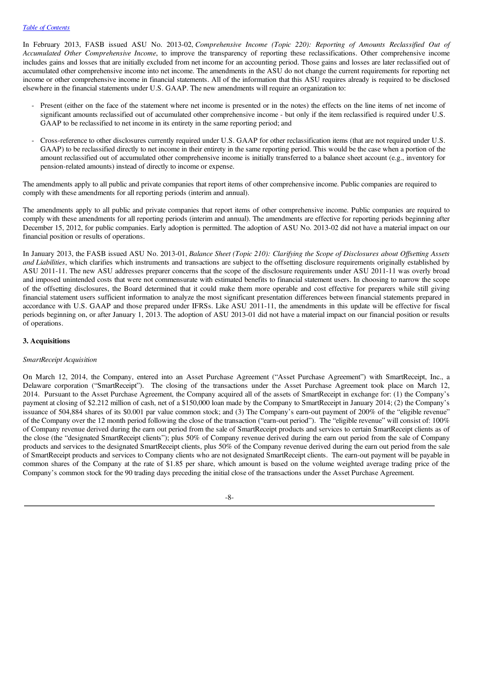In February 2013, FASB issued ASU No. 2013-02, *Comprehensive Income (Topic 220): Reporting of Amounts Reclassified Out of Accumulated Other Comprehensive Income*, to improve the transparency of reporting these reclassifications. Other comprehensive income includes gains and losses that are initially excluded from net income for an accounting period. Those gains and losses are later reclassified out of accumulated other comprehensive income into net income. The amendments in the ASU do not change the current requirements for reporting net income or other comprehensive income in financial statements. All of the information that this ASU requires already is required to be disclosed elsewhere in the financial statements under U.S. GAAP. The new amendments will require an organization to:

- Present (either on the face of the statement where net income is presented or in the notes) the effects on the line items of net income of significant amounts reclassified out of accumulated other comprehensive income - but only if the item reclassified is required under U.S. GAAP to be reclassified to net income in its entirety in the same reporting period; and
- Cross-reference to other disclosures currently required under U.S. GAAP for other reclassification items (that are not required under U.S. GAAP) to be reclassified directly to net income in their entirety in the same reporting period. This would be the case when a portion of the amount reclassified out of accumulated other comprehensive income is initially transferred to a balance sheet account (e.g., inventory for pension-related amounts) instead of directly to income or expense.

The amendments apply to all public and private companies that report items of other comprehensive income. Public companies are required to comply with these amendments for all reporting periods (interim and annual).

The amendments apply to all public and private companies that report items of other comprehensive income. Public companies are required to comply with these amendments for all reporting periods (interim and annual). The amendments are effective for reporting periods beginning after December 15, 2012, for public companies. Early adoption is permitted. The adoption of ASU No. 2013-02 did not have a material impact on our financial position or results of operations.

In January 2013, the FASB issued ASU No. 2013-01, Balance Sheet (Topic 210): Clarifying the Scope of Disclosures about Offsetting Assets *and Liabilities*, which clarifies which instruments and transactions are subject to the offsetting disclosure requirements originally established by ASU 2011-11. The new ASU addresses preparer concerns that the scope of the disclosure requirements under ASU 2011-11 was overly broad and imposed unintended costs that were not commensurate with estimated benefits to financial statement users. In choosing to narrow the scope of the offsetting disclosures, the Board determined that it could make them more operable and cost effective for preparers while still giving financial statement users sufficient information to analyze the most significant presentation differences between financial statements prepared in accordance with U.S. GAAP and those prepared under IFRSs. Like ASU 2011-11, the amendments in this update will be effective for fiscal periods beginning on, or after January 1, 2013. The adoption of ASU 2013-01 did not have a material impact on our financial position or results of operations.

## 3. Acquisitions

### *SmartReceipt Acquisition*

On March 12, 2014, the Company, entered into an Asset Purchase Agreement ("Asset Purchase Agreement") with SmartReceipt, Inc., a Delaware corporation ("SmartReceipt"). The closing of the transactions under the Asset Purchase Agreement took place on March 12, 2014. Pursuant to the Asset Purchase Agreement, the Company acquired all of the assets of SmartReceipt in exchange for: (1) the Company's payment at closing of \$2.212 million of cash, net of a \$150,000 loan made by the Company to SmartReceipt in January 2014; (2) the Company's issuance of 504,884 shares of its \$0.001 par value common stock; and (3) The Company's earn-out payment of 200% of the "eligible revenue" of the Company over the 12 month period following the close of the transaction ("earn-out period"). The "eligible revenue" will consist of: 100% of Company revenue derived during the earn out period from the sale of SmartReceipt products and services to certain SmartReceipt clients as of the close (the "designated SmartReceipt clients"); plus 50% of Company revenue derived during the earn out period from the sale of Company products and services to the designated SmartReceipt clients, plus 50% of the Company revenue derived during the earn out period from the sale of SmartReceipt products and services to Company clients who are not designated SmartReceipt clients. The earn-out payment will be payable in common shares of the Company at the rate of \$1.85 per share, which amount is based on the volume weighted average trading price of the Company's common stock for the 90 trading days preceding the initial close of the transactions under the Asset Purchase Agreement.

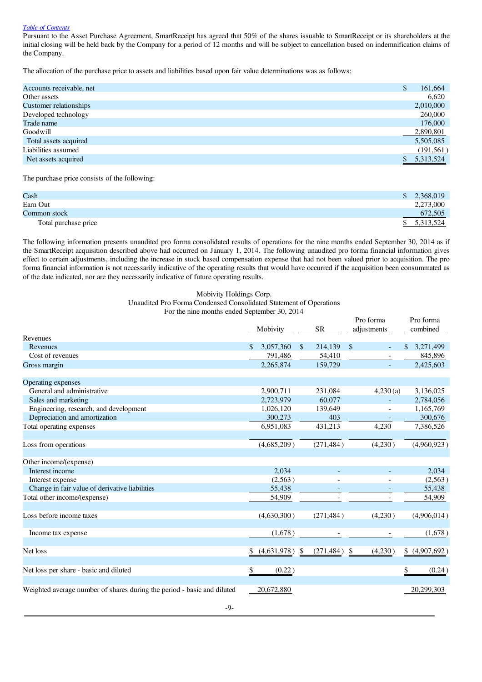#### *Table of [Contents](#page-1-0)*

Pursuant to the Asset Purchase Agreement, SmartReceipt has agreed that 50% of the shares issuable to SmartReceipt or its shareholders at the initial closing will be held back by the Company for a period of 12 months and will be subject to cancellation based on indemnification claims of the Company.

The allocation of the purchase price to assets and liabilities based upon fair value determinations was as follows:

| Accounts receivable, net | 161,664    |
|--------------------------|------------|
| Other assets             | 6,620      |
| Customer relationships   | 2,010,000  |
| Developed technology     | 260,000    |
| Trade name               | 176,000    |
| Goodwill                 | 2,890,801  |
| Total assets acquired    | 5,505,085  |
| Liabilities assumed      | (191, 561) |
| Net assets acquired      | 5,313,524  |
|                          |            |

The purchase price consists of the following:

| Cash                 | \$. | 2.368.019 |
|----------------------|-----|-----------|
| Earn Out             |     | 2,273,000 |
| Common stock         |     | 672,505   |
| Total purchase price |     | 5,313,524 |

The following information presents unaudited pro forma consolidated results of operations for the nine months ended September 30, 2014 as if the SmartReceipt acquisition described above had occurred on January 1, 2014. The following unaudited pro forma financial information gives effect to certain adjustments, including the increase in stock based compensation expense that had not been valued prior to acquisition. The pro forma financial information is not necessarily indicative of the operating results that would have occurred if the acquisition been consummated as of the date indicated, nor are they necessarily indicative of future operating results.

#### Mobivity Holdings Corp.

## Unaudited Pro Forma Condensed Consolidated Statement of Operations

For the nine months ended September 30, 2014

|                                                                         | Mobivity          | <b>SR</b>        | Pro forma<br>adjustments | Pro forma<br>combined |  |  |
|-------------------------------------------------------------------------|-------------------|------------------|--------------------------|-----------------------|--|--|
| Revenues                                                                |                   |                  |                          |                       |  |  |
| Revenues                                                                | 3,057,360         | 214,139<br>\$    | $\mathbb{S}$<br>$\equiv$ | 3,271,499<br>\$       |  |  |
| Cost of revenues                                                        | 791,486           | 54,410           |                          | 845,896               |  |  |
| Gross margin                                                            | 2,265,874         | 159,729          |                          | 2,425,603             |  |  |
| Operating expenses                                                      |                   |                  |                          |                       |  |  |
| General and administrative                                              | 2,900,711         | 231,084          | 4,230(a)                 | 3,136,025             |  |  |
| Sales and marketing                                                     | 2,723,979         | 60,077           |                          | 2,784,056             |  |  |
| Engineering, research, and development                                  | 1,026,120         | 139,649          |                          | 1,165,769             |  |  |
| Depreciation and amortization                                           | 300,273           | 403              |                          | 300,676               |  |  |
| Total operating expenses                                                | 6,951,083         | 431,213          | 4,230                    | 7,386,526             |  |  |
| Loss from operations                                                    | (4,685,209)       | (271, 484)       | (4,230)                  | (4,960,923)           |  |  |
| Other income/(expense)                                                  |                   |                  |                          |                       |  |  |
| Interest income                                                         | 2.034             |                  |                          | 2.034                 |  |  |
| Interest expense                                                        | (2,563)           |                  |                          | (2,563)               |  |  |
| Change in fair value of derivative liabilities                          | 55,438            |                  |                          | 55,438                |  |  |
| Total other income/(expense)                                            | 54,909            |                  |                          | 54,909                |  |  |
| Loss before income taxes                                                | (4,630,300)       | (271, 484)       | (4,230)                  | (4,906,014)           |  |  |
| Income tax expense                                                      | (1,678)           |                  |                          | (1,678)               |  |  |
| Net loss                                                                | (4,631,978)<br>\$ | (271, 484)<br>\$ | (4,230)<br>\$            | (4,907,692)           |  |  |
| Net loss per share - basic and diluted                                  | \$<br>(0.22)      |                  |                          | (0.24)                |  |  |
| Weighted average number of shares during the period - basic and diluted | 20,672,880        |                  |                          | 20,299,303            |  |  |
| $-9-$                                                                   |                   |                  |                          |                       |  |  |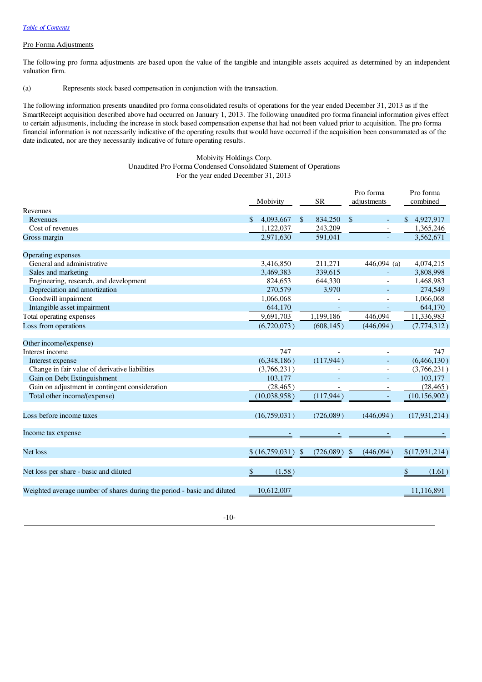## Pro Forma Adjustments

The following pro forma adjustments are based upon the value of the tangible and intangible assets acquired as determined by an independent valuation firm.

# (a) Represents stock based compensation in conjunction with the transaction.

The following information presents unaudited pro forma consolidated results of operations for the year ended December 31, 2013 as if the SmartReceipt acquisition described above had occurred on January 1, 2013. The following unaudited pro forma financial information gives effect to certain adjustments, including the increase in stock based compensation expense that had not been valued prior to acquisition. The pro forma financial information is not necessarily indicative of the operating results that would have occurred if the acquisition been consummated as of the date indicated, nor are they necessarily indicative of future operating results.

## Mobivity Holdings Corp. Unaudited Pro Forma Condensed Consolidated Statement of Operations For the year ended December 31, 2013

|                                                                         |                  |                 | Pro forma                                 | Pro forma      |
|-------------------------------------------------------------------------|------------------|-----------------|-------------------------------------------|----------------|
|                                                                         | Mobivity         | <b>SR</b>       | adjustments                               | combined       |
| Revenues                                                                |                  |                 |                                           |                |
| Revenues                                                                | 4,093,667<br>\$. | \$<br>834,250   | $\mathcal{S}$<br>$\overline{\phantom{a}}$ | \$4,927,917    |
| Cost of revenues                                                        | 1,122,037        | 243,209         |                                           | 1,365,246      |
| Gross margin                                                            | 2,971,630        | 591,041         |                                           | 3,562,671      |
| Operating expenses                                                      |                  |                 |                                           |                |
| General and administrative                                              | 3,416,850        | 211,271         | $446,094$ (a)                             | 4,074,215      |
| Sales and marketing                                                     | 3,469,383        | 339,615         |                                           | 3,808,998      |
| Engineering, research, and development                                  | 824,653          | 644,330         |                                           | 1,468,983      |
| Depreciation and amortization                                           | 270,579          | 3,970           |                                           | 274,549        |
| Goodwill impairment                                                     | 1,066,068        |                 | $\overline{\phantom{a}}$                  | 1,066,068      |
| Intangible asset impairment                                             | 644,170          |                 |                                           | 644,170        |
| Total operating expenses                                                | 9,691,703        | 1,199,186       | 446,094                                   | 11,336,983     |
| Loss from operations                                                    | (6,720,073)      | (608, 145)      | (446,094)                                 | (7,774,312)    |
| Other income/(expense)                                                  |                  |                 |                                           |                |
| Interest income                                                         | 747              |                 |                                           | 747            |
| Interest expense                                                        | (6,348,186)      | (117, 944)      |                                           | (6,466,130)    |
| Change in fair value of derivative liabilities                          | (3,766,231)      |                 |                                           | (3,766,231)    |
| Gain on Debt Extinguishment                                             | 103,177          |                 | $\overline{\phantom{a}}$                  | 103,177        |
| Gain on adjustment in contingent consideration                          | (28, 465)        |                 |                                           | (28, 465)      |
| Total other income/(expense)                                            | (10,038,958)     | (117, 944)      |                                           | (10, 156, 902) |
| Loss before income taxes                                                | (16,759,031)     | (726,089)       | (446,094)                                 | (17, 931, 214) |
| Income tax expense                                                      |                  |                 |                                           |                |
|                                                                         |                  |                 |                                           |                |
| Net loss                                                                | \$(16,759,031)   | (726,089)<br>\$ | $\mathcal{S}$<br>(446,094)                | \$(17,931,214) |
| Net loss per share - basic and diluted                                  | (1.58)<br>\$     |                 |                                           | (1.61)<br>\$   |
| Weighted average number of shares during the period - basic and diluted | 10,612,007       |                 |                                           | 11,116,891     |

-10-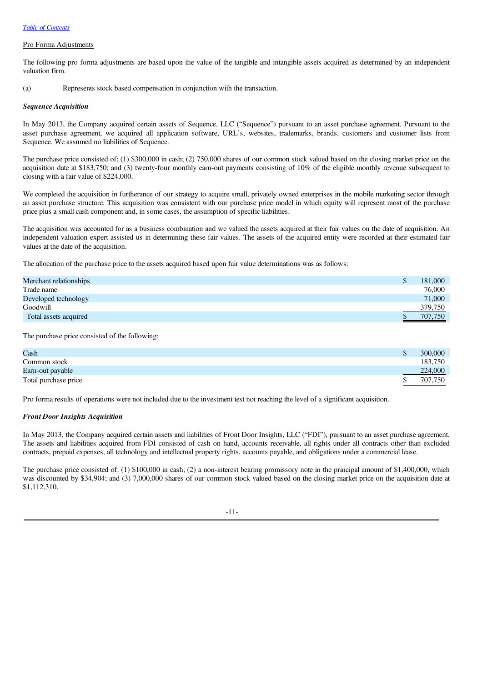#### Pro Forma Adjustments

The following pro forma adjustments are based upon the value of the tangible and intangible assets acquired as determined by an independent valuation firm.

(a) Represents stock based compensation in conjunction with the transaction.

#### *Sequence Acquisition*

In May 2013, the Company acquired certain assets of Sequence, LLC ("Sequence") pursuant to an asset purchase agreement. Pursuant to the asset purchase agreement, we acquired all application software, URL's, websites, trademarks, brands, customers and customer lists from Sequence. We assumed no liabilities of Sequence.

The purchase price consisted of: (1) \$300,000 in cash; (2) 750,000 shares of our common stock valued based on the closing market price on the acquisition date at \$183,750; and (3) twenty-four monthly earn-out payments consisting of 10% of the eligible monthly revenue subsequent to closing with a fair value of \$224,000.

We completed the acquisition in furtherance of our strategy to acquire small, privately owned enterprises in the mobile marketing sector through an asset purchase structure. This acquisition was consistent with our purchase price model in which equity will represent most of the purchase price plus a small cash component and, in some cases, the assumption of specific liabilities.

The acquisition was accounted for as a business combination and we valued the assets acquired at their fair values on the date of acquisition. An independent valuation expert assisted us in determining these fair values. The assets of the acquired entity were recorded at their estimated fair values at the date of the acquisition.

The allocation of the purchase price to the assets acquired based upon fair value determinations was as follows:

| Merchant relationships | 181,000 |
|------------------------|---------|
| Trade name             | 76,000  |
| Developed technology   | 71,000  |
| Goodwill               | 379,750 |
| Total assets acquired  | 707,750 |

The purchase price consisted of the following:

| Cash                 | 300,000 |
|----------------------|---------|
| Common stock         | 183,750 |
| Earn-out payable     | 224,000 |
| Total purchase price | 707,750 |

Pro forma results of operations were not included due to the investment test not reaching the level of a significant acquisition.

## *Front Door Insights Acquisition*

In May 2013, the Company acquired certain assets and liabilities of Front Door Insights, LLC ("FDI"), pursuant to an asset purchase agreement. The assets and liabilities acquired from FDI consisted of cash on hand, accounts receivable, all rights under all contracts other than excluded contracts, prepaid expenses, all technology and intellectual property rights, accounts payable, and obligations under a commercial lease.

The purchase price consisted of: (1) \$100,000 in cash; (2) a non-interest bearing promissory note in the principal amount of \$1,400,000, which was discounted by \$34,904; and (3) 7,000,000 shares of our common stock valued based on the closing market price on the acquisition date at \$1,112,310.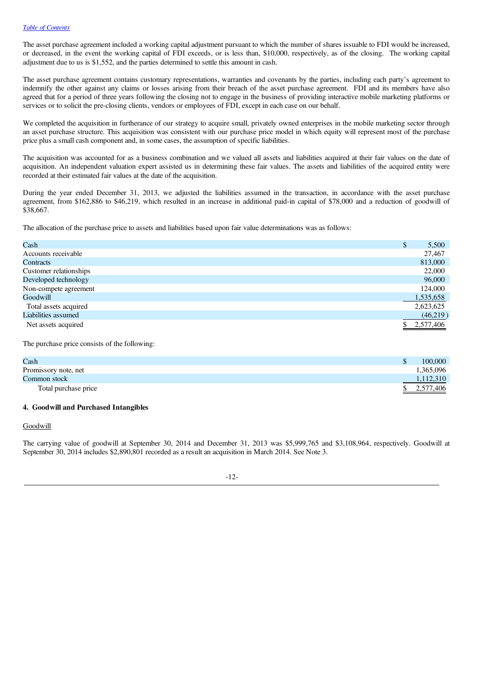The asset purchase agreement included a working capital adjustment pursuant to which the number of shares issuable to FDI would be increased, or decreased, in the event the working capital of FDI exceeds, or is less than, \$10,000, respectively, as of the closing. The working capital adjustment due to us is \$1,552, and the parties determined to settle this amount in cash.

The asset purchase agreement contains customary representations, warranties and covenants by the parties, including each party's agreement to indemnify the other against any claims or losses arising from their breach of the asset purchase agreement. FDI and its members have also agreed that for a period of three years following the closing not to engage in the business of providing interactive mobile marketing platforms or services or to solicit the pre-closing clients, vendors or employees of FDI, except in each case on our behalf.

We completed the acquisition in furtherance of our strategy to acquire small, privately owned enterprises in the mobile marketing sector through an asset purchase structure. This acquisition was consistent with our purchase price model in which equity will represent most of the purchase price plus a small cash component and, in some cases, the assumption of specific liabilities.

The acquisition was accounted for as a business combination and we valued all assets and liabilities acquired at their fair values on the date of acquisition. An independent valuation expert assisted us in determining these fair values. The assets and liabilities of the acquired entity were recorded at their estimated fair values at the date of the acquisition.

During the year ended December 31, 2013, we adjusted the liabilities assumed in the transaction, in accordance with the asset purchase agreement, from \$162,886 to \$46,219, which resulted in an increase in additional paid-in capital of \$78,000 and a reduction of goodwill of \$38,667.

The allocation of the purchase price to assets and liabilities based upon fair value determinations was as follows:

| Cash                   | Φ | 5,500                 |
|------------------------|---|-----------------------|
| Accounts receivable    |   | 27,467                |
| Contracts              |   | 813,000               |
| Customer relationships |   | 22,000                |
| Developed technology   |   | 96,000                |
| Non-compete agreement  |   | 124,000               |
| Goodwill               |   | 1,535,658             |
| Total assets acquired  |   | 2,623,625             |
| Liabilities assumed    |   | (46,219)              |
| Net assets acquired    |   | $\frac{$}{2,577,406}$ |
|                        |   |                       |

The purchase price consists of the following:

| Cash                 | 100,000               |
|----------------------|-----------------------|
| Promissory note, net | 1,365,096             |
| Common stock         | 1,112,310             |
| Total purchase price | $\frac{$2,577,406}{}$ |

## 4. Goodwill and Purchased Intangibles

#### Goodwill

The carrying value of goodwill at September 30, 2014 and December 31, 2013 was \$5,999,765 and \$3,108,964, respectively. Goodwill at September 30, 2014 includes \$2,890,801 recorded as a result an acquisition in March 2014. See Note 3.

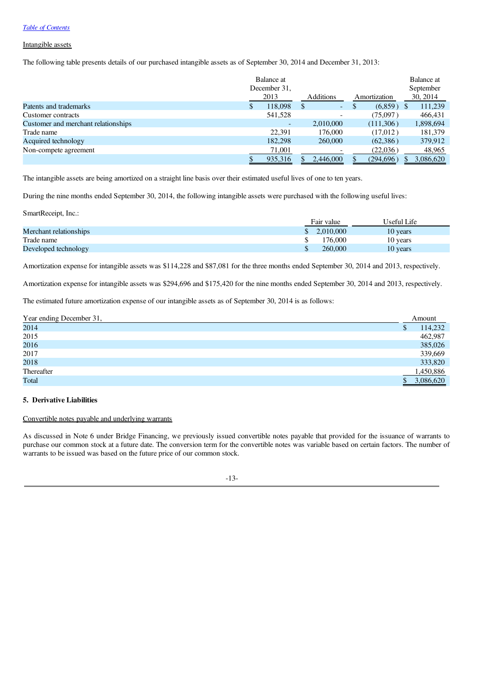#### *Table of [Contents](#page-1-0)*

## Intangible assets

The following table presents details of our purchased intangible assets as of September 30, 2014 and December 31, 2013:

|                                     | Balance at   |         |  |                  |    |              | Balance at |           |  |
|-------------------------------------|--------------|---------|--|------------------|----|--------------|------------|-----------|--|
|                                     | December 31, |         |  |                  |    |              | September  |           |  |
|                                     |              | 2013    |  | <b>Additions</b> |    | Amortization |            | 30, 2014  |  |
| Patents and trademarks              | S            | 118,098 |  | н.               | \$ | (6,859)      |            | 111,239   |  |
| Customer contracts                  |              | 541,528 |  |                  |    | (75,097)     |            | 466,431   |  |
| Customer and merchant relationships |              |         |  | 2.010.000        |    | (111,306)    |            | 1,898,694 |  |
| Trade name                          |              | 22.391  |  | 176,000          |    | (17,012)     |            | 181,379   |  |
| Acquired technology                 |              | 182,298 |  | 260,000          |    | (62, 386)    |            | 379,912   |  |
| Non-compete agreement               |              | 71,001  |  |                  |    | (22,036)     |            | 48,965    |  |
|                                     |              | 935,316 |  | 2.446,000        |    | (294,696)    |            | 3,086,620 |  |

The intangible assets are being amortized on a straight line basis over their estimated useful lives of one to ten years.

During the nine months ended September 30, 2014, the following intangible assets were purchased with the following useful lives:

SmartReceipt, Inc.:

|                        | Fair value                   | Useful Life |
|------------------------|------------------------------|-------------|
| Merchant relationships | $\frac{\text{2.010,000}}{2}$ | 10 years    |
| Trade name             | 176,000                      | 10 years    |
| Developed technology   | 260,000                      | 10 years    |

Amortization expense for intangible assets was \$114,228 and \$87,081 for the three months ended September 30, 2014 and 2013, respectively.

Amortization expense for intangible assets was \$294,696 and \$175,420 for the nine months ended September 30, 2014 and 2013, respectively.

The estimated future amortization expense of our intangible assets as of September 30, 2014 is as follows:

| Year ending December 31, | Amount    |
|--------------------------|-----------|
| 2014                     | 114,232   |
| 2015                     | 462,987   |
| 2016                     | 385,026   |
| 2017                     | 339,669   |
| 2018                     | 333,820   |
| Thereafter               | 1,450,886 |
| Total                    | 3,086,620 |

### 5. Derivative Liabilities

Convertible notes payable and underlying warrants

As discussed in Note 6 under Bridge Financing, we previously issued convertible notes payable that provided for the issuance of warrants to purchase our common stock at a future date. The conversion term for the convertible notes was variable based on certain factors. The number of warrants to be issued was based on the future price of our common stock.

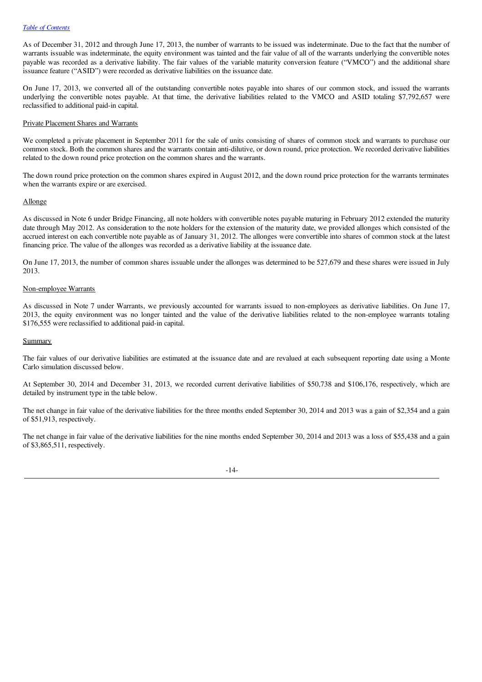As of December 31, 2012 and through June 17, 2013, the number of warrants to be issued was indeterminate. Due to the fact that the number of warrants issuable was indeterminate, the equity environment was tainted and the fair value of all of the warrants underlying the convertible notes payable was recorded as a derivative liability. The fair values of the variable maturity conversion feature ("VMCO") and the additional share issuance feature ("ASID") were recorded as derivative liabilities on the issuance date.

On June 17, 2013, we converted all of the outstanding convertible notes payable into shares of our common stock, and issued the warrants underlying the convertible notes payable. At that time, the derivative liabilities related to the VMCO and ASID totaling \$7,792,657 were reclassified to additional paid-in capital.

#### Private Placement Shares and Warrants

We completed a private placement in September 2011 for the sale of units consisting of shares of common stock and warrants to purchase our common stock. Both the common shares and the warrants contain anti-dilutive, or down round, price protection. We recorded derivative liabilities related to the down round price protection on the common shares and the warrants.

The down round price protection on the common shares expired in August 2012, and the down round price protection for the warrants terminates when the warrants expire or are exercised.

#### Allonge

As discussed in Note 6 under Bridge Financing, all note holders with convertible notes payable maturing in February 2012 extended the maturity date through May 2012. As consideration to the note holders for the extension of the maturity date, we provided allonges which consisted of the accrued interest on each convertible note payable as of January 31, 2012. The allonges were convertible into shares of common stock at the latest financing price. The value of the allonges was recorded as a derivative liability at the issuance date.

On June 17, 2013, the number of common shares issuable under the allonges was determined to be 527,679 and these shares were issued in July 2013.

#### Non-employee Warrants

As discussed in Note 7 under Warrants, we previously accounted for warrants issued to non-employees as derivative liabilities. On June 17, 2013, the equity environment was no longer tainted and the value of the derivative liabilities related to the non-employee warrants totaling \$176,555 were reclassified to additional paid-in capital.

#### Summary

The fair values of our derivative liabilities are estimated at the issuance date and are revalued at each subsequent reporting date using a Monte Carlo simulation discussed below.

At September 30, 2014 and December 31, 2013, we recorded current derivative liabilities of \$50,738 and \$106,176, respectively, which are detailed by instrument type in the table below.

The net change in fair value of the derivative liabilities for the three months ended September 30, 2014 and 2013 was a gain of \$2,354 and a gain of \$51,913, respectively.

The net change in fair value of the derivative liabilities for the nine months ended September 30, 2014 and 2013 was a loss of \$55,438 and a gain of \$3,865,511, respectively.

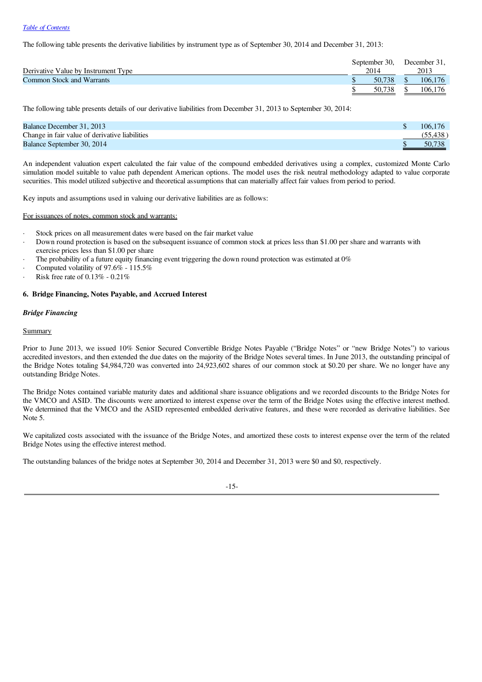The following table presents the derivative liabilities by instrument type as of September 30, 2014 and December 31, 2013:

|                                     | September 30, December 31, |        |         |
|-------------------------------------|----------------------------|--------|---------|
| Derivative Value by Instrument Type |                            | 2014   | 2013    |
| <b>Common Stock and Warrants</b>    |                            | 50.738 | 106.176 |
|                                     |                            | 50.738 | 106.176 |

The following table presents details of our derivative liabilities from December 31, 2013 to September 30, 2014:

| Balance December 31, 2013                      | 106,176   |
|------------------------------------------------|-----------|
| Change in fair value of derivative liabilities | (55, 438) |
| Balance September 30, 2014                     | 50,738    |

An independent valuation expert calculated the fair value of the compound embedded derivatives using a complex, customized Monte Carlo simulation model suitable to value path dependent American options. The model uses the risk neutral methodology adapted to value corporate securities. This model utilized subjective and theoretical assumptions that can materially affect fair values from period to period.

Key inputs and assumptions used in valuing our derivative liabilities are as follows:

For issuances of notes, common stock and warrants:

- Stock prices on all measurement dates were based on the fair market value
- Down round protection is based on the subsequent issuance of common stock at prices less than \$1.00 per share and warrants with exercise prices less than \$1.00 per share
- The probability of a future equity financing event triggering the down round protection was estimated at 0%
- Computed volatility of  $97.6\%$   $115.5\%$
- Risk free rate of  $0.13\%$   $0.21\%$

### 6. Bridge Financing, Notes Payable, and Accrued Interest

#### *Bridge Financing*

#### **Summary**

Prior to June 2013, we issued 10% Senior Secured Convertible Bridge Notes Payable ("Bridge Notes" or "new Bridge Notes") to various accredited investors, and then extended the due dates on the majority of the Bridge Notes several times. In June 2013, the outstanding principal of the Bridge Notes totaling \$4,984,720 was converted into 24,923,602 shares of our common stock at \$0.20 per share. We no longer have any outstanding Bridge Notes.

The Bridge Notes contained variable maturity dates and additional share issuance obligations and we recorded discounts to the Bridge Notes for the VMCO and ASID. The discounts were amortized to interest expense over the term of the Bridge Notes using the effective interest method. We determined that the VMCO and the ASID represented embedded derivative features, and these were recorded as derivative liabilities. See Note 5.

We capitalized costs associated with the issuance of the Bridge Notes, and amortized these costs to interest expense over the term of the related Bridge Notes using the effective interest method.

The outstanding balances of the bridge notes at September 30, 2014 and December 31, 2013 were \$0 and \$0, respectively.

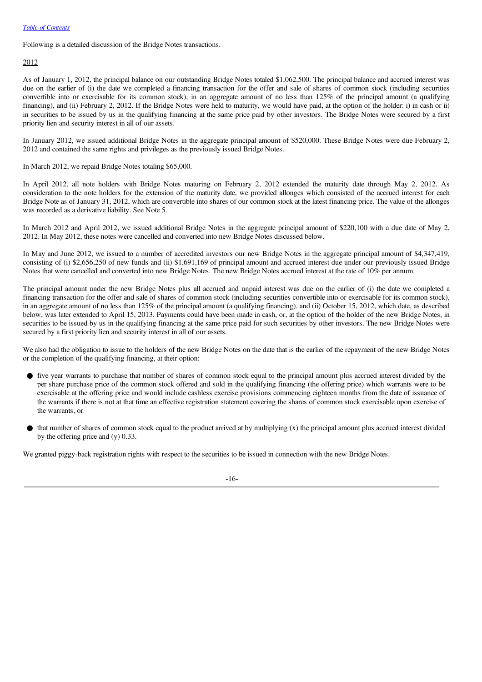Following is a detailed discussion of the Bridge Notes transactions.

2012

As of January 1, 2012, the principal balance on our outstanding Bridge Notes totaled \$1,062,500. The principal balance and accrued interest was due on the earlier of (i) the date we completed a financing transaction for the offer and sale of shares of common stock (including securities convertible into or exercisable for its common stock), in an aggregate amount of no less than 125% of the principal amount (a qualifying financing), and (ii) February 2, 2012. If the Bridge Notes were held to maturity, we would have paid, at the option of the holder: i) in cash or ii) in securities to be issued by us in the qualifying financing at the same price paid by other investors. The Bridge Notes were secured by a first priority lien and security interest in all of our assets.

In January 2012, we issued additional Bridge Notes in the aggregate principal amount of \$520,000. These Bridge Notes were due February 2, 2012 and contained the same rights and privileges as the previously issued Bridge Notes.

In March 2012, we repaid Bridge Notes totaling \$65,000.

In April 2012, all note holders with Bridge Notes maturing on February 2, 2012 extended the maturity date through May 2, 2012. As consideration to the note holders for the extension of the maturity date, we provided allonges which consisted of the accrued interest for each Bridge Note as of January 31, 2012, which are convertible into shares of our common stock at the latest financing price. The value of the allonges was recorded as a derivative liability. See Note 5.

In March 2012 and April 2012, we issued additional Bridge Notes in the aggregate principal amount of \$220,100 with a due date of May 2, 2012. In May 2012, these notes were cancelled and converted into new Bridge Notes discussed below.

In May and June 2012, we issued to a number of accredited investors our new Bridge Notes in the aggregate principal amount of \$4,347,419, consisting of (i) \$2,656,250 of new funds and (ii) \$1,691,169 of principal amount and accrued interest due under our previously issued Bridge Notes that were cancelled and converted into new Bridge Notes. The new Bridge Notes accrued interest at the rate of 10% per annum.

The principal amount under the new Bridge Notes plus all accrued and unpaid interest was due on the earlier of (i) the date we completed a financing transaction for the offer and sale of shares of common stock (including securities convertible into or exercisable for its common stock), in an aggregate amount of no less than 125% of the principal amount (a qualifying financing), and (ii) October 15, 2012, which date, as described below, was later extended to April 15, 2013. Payments could have been made in cash, or, at the option of the holder of the new Bridge Notes, in securities to be issued by us in the qualifying financing at the same price paid for such securities by other investors. The new Bridge Notes were secured by a first priority lien and security interest in all of our assets.

We also had the obligation to issue to the holders of the new Bridge Notes on the date that is the earlier of the repayment of the new Bridge Notes or the completion of the qualifying financing, at their option:

- five year warrants to purchase that number of shares of common stock equal to the principal amount plus accrued interest divided by the per share purchase price of the common stock offered and sold in the qualifying financing (the offering price) which warrants were to be exercisable at the offering price and would include cashless exercise provisions commencing eighteen months from the date of issuance of the warrants if there is not at that time an effective registration statement covering the shares of common stock exercisable upon exercise of the warrants, or
- that number of shares of common stock equal to the product arrived at by multiplying  $(x)$  the principal amount plus accrued interest divided by the offering price and (y) 0.33.

We granted piggy-back registration rights with respect to the securities to be issued in connection with the new Bridge Notes.

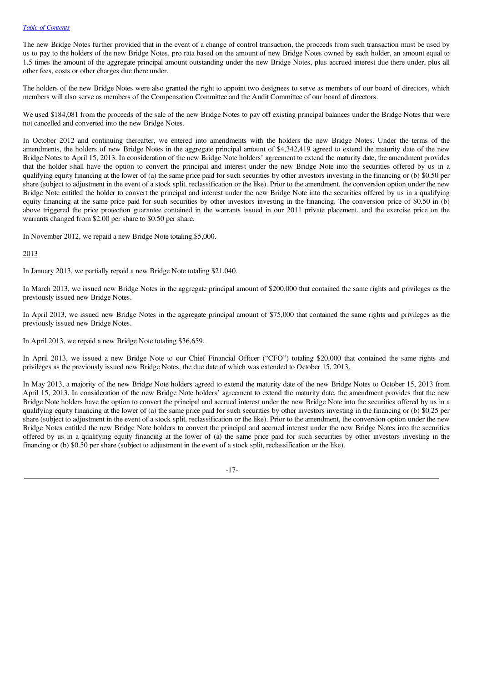The new Bridge Notes further provided that in the event of a change of control transaction, the proceeds from such transaction must be used by us to pay to the holders of the new Bridge Notes, pro rata based on the amount of new Bridge Notes owned by each holder, an amount equal to 1.5 times the amount of the aggregate principal amount outstanding under the new Bridge Notes, plus accrued interest due there under, plus all other fees, costs or other charges due there under.

The holders of the new Bridge Notes were also granted the right to appoint two designees to serve as members of our board of directors, which members will also serve as members of the Compensation Committee and the Audit Committee of our board of directors.

We used \$184,081 from the proceeds of the sale of the new Bridge Notes to pay off existing principal balances under the Bridge Notes that were not cancelled and converted into the new Bridge Notes.

In October 2012 and continuing thereafter, we entered into amendments with the holders the new Bridge Notes. Under the terms of the amendments, the holders of new Bridge Notes in the aggregate principal amount of \$4,342,419 agreed to extend the maturity date of the new Bridge Notes to April 15, 2013. In consideration of the new Bridge Note holders' agreement to extend the maturity date, the amendment provides that the holder shall have the option to convert the principal and interest under the new Bridge Note into the securities offered by us in a qualifying equity financing at the lower of (a) the same price paid for such securities by other investors investing in the financing or (b) \$0.50 per share (subject to adjustment in the event of a stock split, reclassification or the like). Prior to the amendment, the conversion option under the new Bridge Note entitled the holder to convert the principal and interest under the new Bridge Note into the securities offered by us in a qualifying equity financing at the same price paid for such securities by other investors investing in the financing. The conversion price of \$0.50 in (b) above triggered the price protection guarantee contained in the warrants issued in our 2011 private placement, and the exercise price on the warrants changed from \$2.00 per share to \$0.50 per share.

In November 2012, we repaid a new Bridge Note totaling \$5,000.

### 2013

In January 2013, we partially repaid a new Bridge Note totaling \$21,040.

In March 2013, we issued new Bridge Notes in the aggregate principal amount of \$200,000 that contained the same rights and privileges as the previously issued new Bridge Notes.

In April 2013, we issued new Bridge Notes in the aggregate principal amount of \$75,000 that contained the same rights and privileges as the previously issued new Bridge Notes.

In April 2013, we repaid a new Bridge Note totaling \$36,659.

In April 2013, we issued a new Bridge Note to our Chief Financial Officer ("CFO") totaling \$20,000 that contained the same rights and privileges as the previously issued new Bridge Notes, the due date of which was extended to October 15, 2013.

In May 2013, a majority of the new Bridge Note holders agreed to extend the maturity date of the new Bridge Notes to October 15, 2013 from April 15, 2013. In consideration of the new Bridge Note holders' agreement to extend the maturity date, the amendment provides that the new Bridge Note holders have the option to convert the principal and accrued interest under the new Bridge Note into the securities offered by us in a qualifying equity financing at the lower of (a) the same price paid for such securities by other investors investing in the financing or (b) \$0.25 per share (subject to adjustment in the event of a stock split, reclassification or the like). Prior to the amendment, the conversion option under the new Bridge Notes entitled the new Bridge Note holders to convert the principal and accrued interest under the new Bridge Notes into the securities offered by us in a qualifying equity financing at the lower of (a) the same price paid for such securities by other investors investing in the financing or (b) \$0.50 per share (subject to adjustment in the event of a stock split, reclassification or the like).

-17-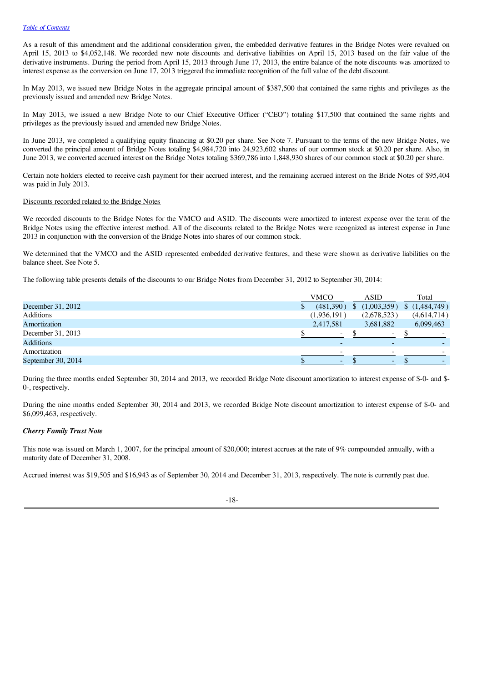As a result of this amendment and the additional consideration given, the embedded derivative features in the Bridge Notes were revalued on April 15, 2013 to \$4,052,148. We recorded new note discounts and derivative liabilities on April 15, 2013 based on the fair value of the derivative instruments. During the period from April 15, 2013 through June 17, 2013, the entire balance of the note discounts was amortized to interest expense as the conversion on June 17, 2013 triggered the immediate recognition of the full value of the debt discount.

In May 2013, we issued new Bridge Notes in the aggregate principal amount of \$387,500 that contained the same rights and privileges as the previously issued and amended new Bridge Notes.

In May 2013, we issued a new Bridge Note to our Chief Executive Officer ("CEO") totaling \$17,500 that contained the same rights and privileges as the previously issued and amended new Bridge Notes.

In June 2013, we completed a qualifying equity financing at \$0.20 per share. See Note 7. Pursuant to the terms of the new Bridge Notes, we converted the principal amount of Bridge Notes totaling \$4,984,720 into 24,923,602 shares of our common stock at \$0.20 per share. Also, in June 2013, we converted accrued interest on the Bridge Notes totaling \$369,786 into 1,848,930 shares of our common stock at \$0.20 per share.

Certain note holders elected to receive cash payment for their accrued interest, and the remaining accrued interest on the Bride Notes of \$95,404 was paid in July 2013.

#### Discounts recorded related to the Bridge Notes

We recorded discounts to the Bridge Notes for the VMCO and ASID. The discounts were amortized to interest expense over the term of the Bridge Notes using the effective interest method. All of the discounts related to the Bridge Notes were recognized as interest expense in June 2013 in conjunction with the conversion of the Bridge Notes into shares of our common stock.

We determined that the VMCO and the ASID represented embedded derivative features, and these were shown as derivative liabilities on the balance sheet. See Note 5.

The following table presents details of the discounts to our Bridge Notes from December 31, 2012 to September 30, 2014:

|                    | VMCO                     | ASID                     | Total         |
|--------------------|--------------------------|--------------------------|---------------|
| December 31, 2012  | (481,390)                | (1,003,359)              | \$(1,484,749) |
| Additions          | (1,936,191)              | (2,678,523)              | (4,614,714)   |
| Amortization       | 2,417,581                | 3,681,882                | 6,099,463     |
| December 31, 2013  |                          | $\overline{\phantom{0}}$ |               |
| <b>Additions</b>   |                          |                          |               |
| Amortization       |                          |                          |               |
| September 30, 2014 | $\overline{\phantom{0}}$ | $\overline{a}$           |               |

During the three months ended September 30, 2014 and 2013, we recorded Bridge Note discount amortization to interest expense of \$-0- and \$- 0-, respectively.

During the nine months ended September 30, 2014 and 2013, we recorded Bridge Note discount amortization to interest expense of \$-0- and \$6,099,463, respectively.

#### *Cherry Family Trust Note*

This note was issued on March 1, 2007, for the principal amount of \$20,000; interest accrues at the rate of 9% compounded annually, with a maturity date of December 31, 2008.

Accrued interest was \$19,505 and \$16,943 as of September 30, 2014 and December 31, 2013, respectively. The note is currently past due.

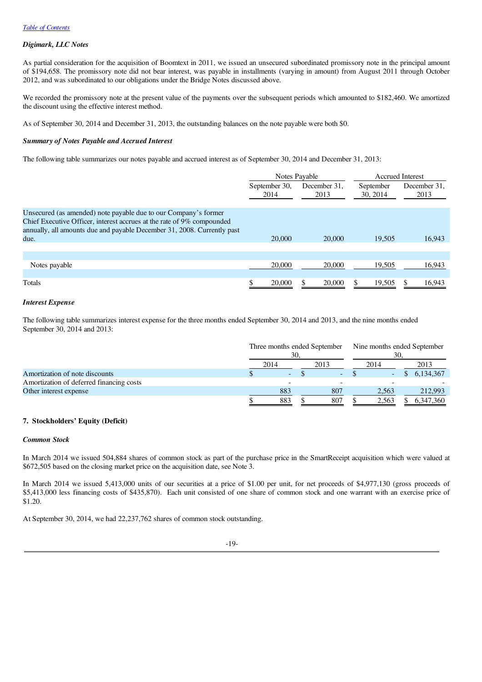#### *Digimark, LLC Notes*

As partial consideration for the acquisition of Boomtext in 2011, we issued an unsecured subordinated promissory note in the principal amount of \$194,658. The promissory note did not bear interest, was payable in installments (varying in amount) from August 2011 through October 2012, and was subordinated to our obligations under the Bridge Notes discussed above.

We recorded the promissory note at the present value of the payments over the subsequent periods which amounted to \$182,460. We amortized the discount using the effective interest method.

As of September 30, 2014 and December 31, 2013, the outstanding balances on the note payable were both \$0.

#### *Summary of Notes Payable and Accrued Interest*

The following table summarizes our notes payable and accrued interest as of September 30, 2014 and December 31, 2013:

|                                                                                                                                                                                                                              |               | Notes Pavable |           | <b>Accrued Interest</b> |
|------------------------------------------------------------------------------------------------------------------------------------------------------------------------------------------------------------------------------|---------------|---------------|-----------|-------------------------|
|                                                                                                                                                                                                                              | September 30, | December 31.  | September | December 31,            |
|                                                                                                                                                                                                                              | 2014          | 2013          | 30, 2014  | 2013                    |
| Unsecured (as amended) note payable due to our Company's former<br>Chief Executive Officer, interest accrues at the rate of 9% compounded<br>annually, all amounts due and payable December 31, 2008. Currently past<br>due. | 20,000        | 20,000        | 19.505    | 16,943                  |
|                                                                                                                                                                                                                              |               |               |           |                         |
| Notes payable                                                                                                                                                                                                                | 20,000        | 20,000        | 19,505    | 16,943                  |
| Totals                                                                                                                                                                                                                       | 20,000        | 20,000        | 19.505    | 16.943                  |

## *Interest Expense*

The following table summarizes interest expense for the three months ended September 30, 2014 and 2013, and the nine months ended September 30, 2014 and 2013:

|                                          | Three months ended September<br>30. |  |      |  | Nine months ended September<br>30. |  |           |  |  |
|------------------------------------------|-------------------------------------|--|------|--|------------------------------------|--|-----------|--|--|
|                                          | 2014                                |  | 2013 |  | 2014                               |  | 2013      |  |  |
| Amortization of note discounts           | $\overline{\phantom{0}}$            |  |      |  | $\overline{\phantom{a}}$           |  | 6,134,367 |  |  |
| Amortization of deferred financing costs |                                     |  |      |  |                                    |  |           |  |  |
| Other interest expense                   | 883                                 |  | 807  |  | 2,563                              |  | 212,993   |  |  |
|                                          | 883                                 |  | 807  |  | 2,563                              |  | 6.347.360 |  |  |

# 7. Stockholders' Equity (Deficit)

# *Common Stock*

In March 2014 we issued 504,884 shares of common stock as part of the purchase price in the SmartReceipt acquisition which were valued at \$672,505 based on the closing market price on the acquisition date, see Note 3.

In March 2014 we issued 5,413,000 units of our securities at a price of \$1.00 per unit, for net proceeds of \$4,977,130 (gross proceeds of \$5,413,000 less financing costs of \$435,870). Each unit consisted of one share of common stock and one warrant with an exercise price of \$1.20.

At September 30, 2014, we had 22,237,762 shares of common stock outstanding.

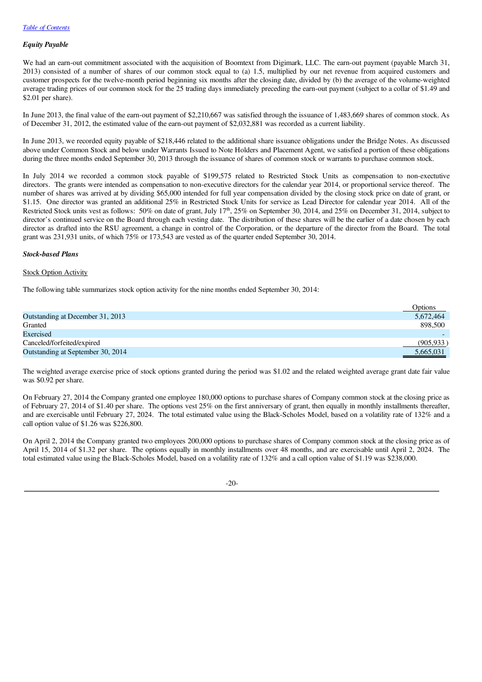#### *Equity Payable*

We had an earn-out commitment associated with the acquisition of Boomtext from Digimark, LLC. The earn-out payment (payable March 31, 2013) consisted of a number of shares of our common stock equal to (a) 1.5, multiplied by our net revenue from acquired customers and customer prospects for the twelve-month period beginning six months after the closing date, divided by (b) the average of the volume-weighted average trading prices of our common stock for the 25 trading days immediately preceding the earn-out payment (subject to a collar of \$1.49 and \$2.01 per share).

In June 2013, the final value of the earn-out payment of \$2,210,667 was satisfied through the issuance of 1,483,669 shares of common stock. As of December 31, 2012, the estimated value of the earn-out payment of \$2,032,881 was recorded as a current liability.

In June 2013, we recorded equity payable of \$218,446 related to the additional share issuance obligations under the Bridge Notes. As discussed above under Common Stock and below under Warrants Issued to Note Holders and Placement Agent, we satisfied a portion of these obligations during the three months ended September 30, 2013 through the issuance of shares of common stock or warrants to purchase common stock.

In July 2014 we recorded a common stock payable of \$199,575 related to Restricted Stock Units as compensation to non-exectutive directors. The grants were intended as compensation to non-executive directors for the calendar year 2014, or proportional service thereof. The number of shares was arrived at by dividing \$65,000 intended for full year compensation divided by the closing stock price on date of grant, or \$1.15. One director was granted an additional 25% in Restricted Stock Units for service as Lead Director for calendar year 2014. All of the Restricted Stock units vest as follows: 50% on date of grant, July 17<sup>th</sup>, 25% on September 30, 2014, and 25% on December 31, 2014, subject to director's continued service on the Board through each vesting date. The distribution of these shares will be the earlier of a date chosen by each director as drafted into the RSU agreement, a change in control of the Corporation, or the departure of the director from the Board. The total grant was 231,931 units, of which 75% or 173,543 are vested as of the quarter ended September 30, 2014.

#### *Stock-based Plans*

## Stock Option Activity

The following table summarizes stock option activity for the nine months ended September 30, 2014:

|                                   | Options    |
|-----------------------------------|------------|
| Outstanding at December 31, 2013  | 5.672.464  |
| Granted                           | 898,500    |
| Exercised                         |            |
| Canceled/forfeited/expired        | (905, 933) |
| Outstanding at September 30, 2014 | 5,665,031  |

The weighted average exercise price of stock options granted during the period was \$1.02 and the related weighted average grant date fair value was \$0.92 per share.

On February 27, 2014 the Company granted one employee 180,000 options to purchase shares of Company common stock at the closing price as of February 27, 2014 of \$1.40 per share. The options vest 25% on the first anniversary of grant, then equally in monthly installments thereafter, and are exercisable until February 27, 2024. The total estimated value using the Black-Scholes Model, based on a volatility rate of 132% and a call option value of \$1.26 was \$226,800.

On April 2, 2014 the Company granted two employees 200,000 options to purchase shares of Company common stock at the closing price as of April 15, 2014 of \$1.32 per share. The options equally in monthly installments over 48 months, and are exercisable until April 2, 2024. The total estimated value using the Black-Scholes Model, based on a volatility rate of 132% and a call option value of \$1.19 was \$238,000.

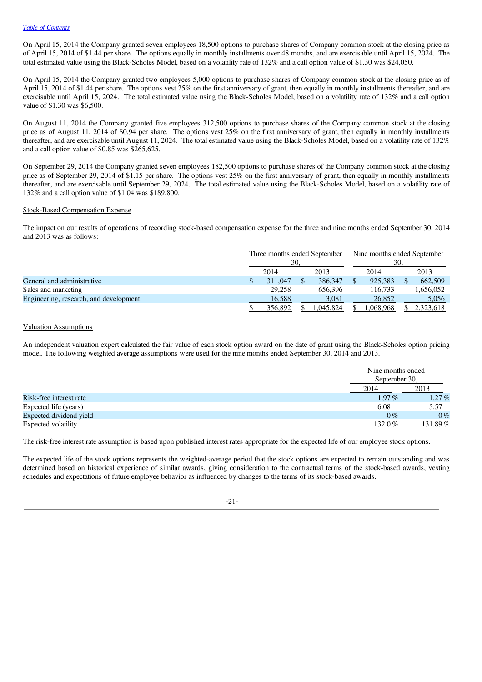On April 15, 2014 the Company granted seven employees 18,500 options to purchase shares of Company common stock at the closing price as of April 15, 2014 of \$1.44 per share. The options equally in monthly installments over 48 months, and are exercisable until April 15, 2024. The total estimated value using the Black-Scholes Model, based on a volatility rate of 132% and a call option value of \$1.30 was \$24,050.

On April 15, 2014 the Company granted two employees 5,000 options to purchase shares of Company common stock at the closing price as of April 15, 2014 of \$1.44 per share. The options vest 25% on the first anniversary of grant, then equally in monthly installments thereafter, and are exercisable until April 15, 2024. The total estimated value using the Black-Scholes Model, based on a volatility rate of 132% and a call option value of \$1.30 was \$6,500.

On August 11, 2014 the Company granted five employees 312,500 options to purchase shares of the Company common stock at the closing price as of August 11, 2014 of \$0.94 per share. The options vest 25% on the first anniversary of grant, then equally in monthly installments thereafter, and are exercisable until August 11, 2024. The total estimated value using the Black-Scholes Model, based on a volatility rate of 132% and a call option value of \$0.85 was \$265,625.

On September 29, 2014 the Company granted seven employees 182,500 options to purchase shares of the Company common stock at the closing price as of September 29, 2014 of \$1.15 per share. The options vest 25% on the first anniversary of grant, then equally in monthly installments thereafter, and are exercisable until September 29, 2024. The total estimated value using the Black-Scholes Model, based on a volatility rate of 132% and a call option value of \$1.04 was \$189,800.

#### Stock-Based Compensation Expense

The impact on our results of operations of recording stock-based compensation expense for the three and nine months ended September 30, 2014 and 2013 was as follows:

|                                        | Three months ended September<br>30, |  |          |  | Nine months ended September<br>30. |  |           |  |
|----------------------------------------|-------------------------------------|--|----------|--|------------------------------------|--|-----------|--|
|                                        | 2014                                |  | 2013     |  | 2014                               |  | 2013      |  |
| General and administrative             | 311,047                             |  | 386,347  |  | 925,383                            |  | 662,509   |  |
| Sales and marketing                    | 29.258                              |  | 656.396  |  | 116.733                            |  | 1,656,052 |  |
| Engineering, research, and development | 16,588                              |  | 3,081    |  | 26,852                             |  | 5,056     |  |
|                                        | 356,892                             |  | .045.824 |  | ,068,968                           |  | 2.323.618 |  |

#### Valuation Assumptions

An independent valuation expert calculated the fair value of each stock option award on the date of grant using the Black-Scholes option pricing model. The following weighted average assumptions were used for the nine months ended September 30, 2014 and 2013.

|                         | Nine months ended |          |  |
|-------------------------|-------------------|----------|--|
|                         | September 30,     |          |  |
|                         | 2014              | 2013     |  |
| Risk-free interest rate | $1.97\%$          | $1.27\%$ |  |
| Expected life (years)   | 6.08              | 5.57     |  |
| Expected dividend yield | $0\%$             | $0\%$    |  |
| Expected volatility     | $132.0\%$         | 131.89%  |  |

The risk-free interest rate assumption is based upon published interest rates appropriate for the expected life of our employee stock options.

The expected life of the stock options represents the weighted-average period that the stock options are expected to remain outstanding and was determined based on historical experience of similar awards, giving consideration to the contractual terms of the stock-based awards, vesting schedules and expectations of future employee behavior as influenced by changes to the terms of its stock-based awards.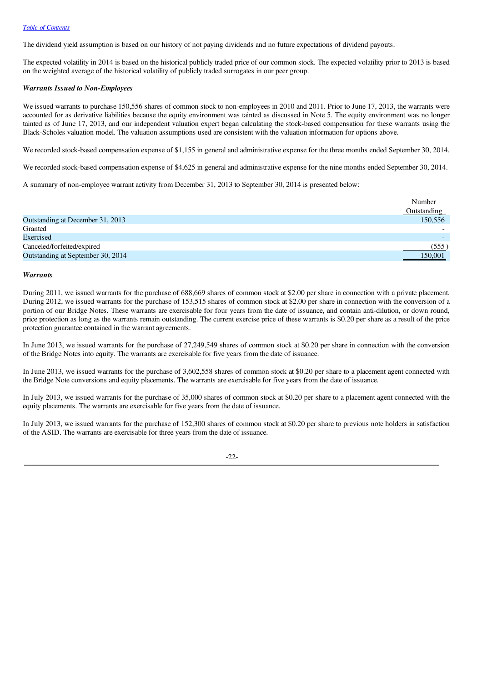The dividend yield assumption is based on our history of not paying dividends and no future expectations of dividend payouts.

The expected volatility in 2014 is based on the historical publicly traded price of our common stock. The expected volatility prior to 2013 is based on the weighted average of the historical volatility of publicly traded surrogates in our peer group.

## *Warrants Issued to Non-Employees*

We issued warrants to purchase 150,556 shares of common stock to non-employees in 2010 and 2011. Prior to June 17, 2013, the warrants were accounted for as derivative liabilities because the equity environment was tainted as discussed in Note 5. The equity environment was no longer tainted as of June 17, 2013, and our independent valuation expert began calculating the stock-based compensation for these warrants using the Black-Scholes valuation model. The valuation assumptions used are consistent with the valuation information for options above.

We recorded stock-based compensation expense of \$1,155 in general and administrative expense for the three months ended September 30, 2014.

We recorded stock-based compensation expense of \$4,625 in general and administrative expense for the nine months ended September 30, 2014.

A summary of non-employee warrant activity from December 31, 2013 to September 30, 2014 is presented below:

|                                   | Number      |
|-----------------------------------|-------------|
|                                   | Outstanding |
| Outstanding at December 31, 2013  | 150,556     |
| Granted                           |             |
| Exercised                         |             |
| Canceled/forfeited/expired        | (555)       |
| Outstanding at September 30, 2014 | 150,001     |

### *Warrants*

During 2011, we issued warrants for the purchase of 688,669 shares of common stock at \$2.00 per share in connection with a private placement. During 2012, we issued warrants for the purchase of 153,515 shares of common stock at \$2.00 per share in connection with the conversion of a portion of our Bridge Notes. These warrants are exercisable for four years from the date of issuance, and contain anti-dilution, or down round, price protection as long as the warrants remain outstanding. The current exercise price of these warrants is \$0.20 per share as a result of the price protection guarantee contained in the warrant agreements.

In June 2013, we issued warrants for the purchase of 27,249,549 shares of common stock at \$0.20 per share in connection with the conversion of the Bridge Notes into equity. The warrants are exercisable for five years from the date of issuance.

In June 2013, we issued warrants for the purchase of 3,602,558 shares of common stock at \$0.20 per share to a placement agent connected with the Bridge Note conversions and equity placements. The warrants are exercisable for five years from the date of issuance.

In July 2013, we issued warrants for the purchase of 35,000 shares of common stock at \$0.20 per share to a placement agent connected with the equity placements. The warrants are exercisable for five years from the date of issuance.

In July 2013, we issued warrants for the purchase of 152,300 shares of common stock at \$0.20 per share to previous note holders in satisfaction of the ASID. The warrants are exercisable for three years from the date of issuance.

 $-22-$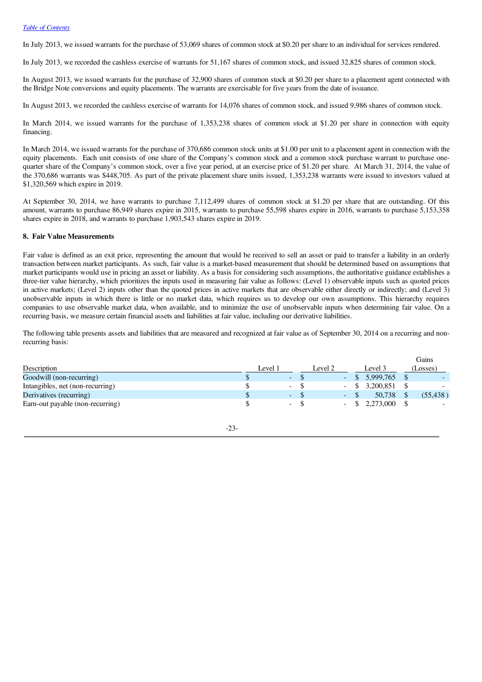In July 2013, we issued warrants for the purchase of 53,069 shares of common stock at \$0.20 per share to an individual for services rendered.

In July 2013, we recorded the cashless exercise of warrants for 51,167 shares of common stock, and issued 32,825 shares of common stock.

In August 2013, we issued warrants for the purchase of 32,900 shares of common stock at \$0.20 per share to a placement agent connected with the Bridge Note conversions and equity placements. The warrants are exercisable for five years from the date of issuance.

In August 2013, we recorded the cashless exercise of warrants for 14,076 shares of common stock, and issued 9,986 shares of common stock.

In March 2014, we issued warrants for the purchase of 1,353,238 shares of common stock at \$1.20 per share in connection with equity financing.

In March 2014, we issued warrants for the purchase of 370,686 common stock units at \$1.00 per unit to a placement agent in connection with the equity placements. Each unit consists of one share of the Company's common stock and a common stock purchase warrant to purchase onequarter share of the Company's common stock, over a five year period, at an exercise price of \$1.20 per share. At March 31, 2014, the value of the 370,686 warrants was \$448,705. As part of the private placement share units issued, 1,353,238 warrants were issued to investors valued at \$1,320,569 which expire in 2019.

At September 30, 2014, we have warrants to purchase 7,112,499 shares of common stock at \$1.20 per share that are outstanding. Of this amount, warrants to purchase 86,949 shares expire in 2015, warrants to purchase 55,598 shares expire in 2016, warrants to purchase 5,153,358 shares expire in 2018, and warrants to purchase 1,903,543 shares expire in 2019.

#### 8. Fair Value Measurements

Fair value is defined as an exit price, representing the amount that would be received to sell an asset or paid to transfer a liability in an orderly transaction between market participants. As such, fair value is a market-based measurement that should be determined based on assumptions that market participants would use in pricing an asset or liability. As a basis for considering such assumptions, the authoritative guidance establishes a three-tier value hierarchy, which prioritizes the inputs used in measuring fair value as follows: (Level 1) observable inputs such as quoted prices in active markets; (Level 2) inputs other than the quoted prices in active markets that are observable either directly or indirectly; and (Level 3) unobservable inputs in which there is little or no market data, which requires us to develop our own assumptions. This hierarchy requires companies to use observable market data, when available, and to minimize the use of unobservable inputs when determining fair value. On a recurring basis, we measure certain financial assets and liabilities at fair value, including our derivative liabilities.

The following table presents assets and liabilities that are measured and recognized at fair value as of September 30, 2014 on a recurring and nonrecurring basis:

|         |                          |         |                          |           | Gains     |
|---------|--------------------------|---------|--------------------------|-----------|-----------|
| Level 1 |                          | Level 2 |                          | Level 3   | (Losses)  |
|         | $\overline{\phantom{0}}$ |         | $\overline{\phantom{a}}$ | 5.999.765 |           |
|         | $\overline{\phantom{0}}$ |         | $\overline{\phantom{0}}$ | 3,200,851 |           |
|         | $\overline{\phantom{0}}$ |         | $\overline{\phantom{a}}$ | 50.738    | (55, 438) |
|         | $\overline{\phantom{0}}$ |         |                          | 2,273,000 |           |
|         |                          |         |                          |           |           |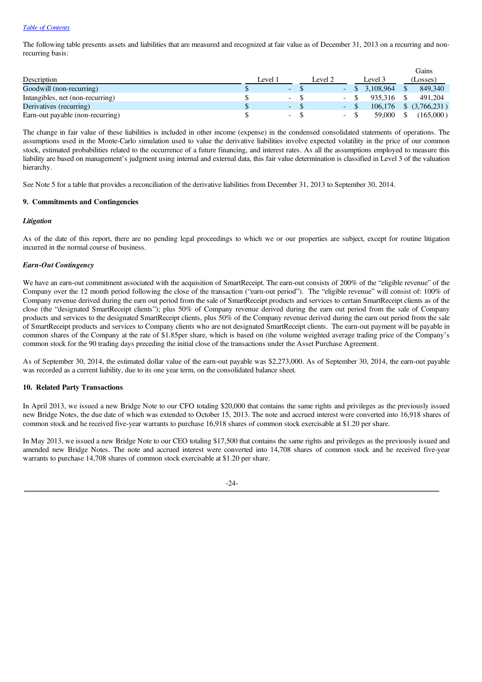#### *Table of [Contents](#page-1-0)*

The following table presents assets and liabilities that are measured and recognized at fair value as of December 31, 2013 on a recurring and nonrecurring basis:

|                                  |         |                          |         |                          |           | Gains       |
|----------------------------------|---------|--------------------------|---------|--------------------------|-----------|-------------|
| Description                      | Level : |                          | Level 2 |                          | Level 3   | (Losses)    |
| Goodwill (non-recurring)         |         | $\overline{\phantom{0}}$ |         | $\sim$                   | 3,108,964 | 849.340     |
| Intangibles, net (non-recurring) |         | $\overline{\phantom{0}}$ |         | $\overline{\phantom{a}}$ | 935.316   | 491.204     |
| Derivatives (recurring)          |         | $\overline{\phantom{0}}$ |         | $\overline{\phantom{a}}$ | 106.176   | (3,766,231) |
| Earn-out payable (non-recurring) |         | $\overline{\phantom{0}}$ |         | $\overline{\phantom{a}}$ | 59,000    | (165,000)   |

The change in fair value of these liabilities is included in other income (expense) in the condensed consolidated statements of operations. The assumptions used in the Monte-Carlo simulation used to value the derivative liabilities involve expected volatility in the price of our common stock, estimated probabilities related to the occurrence of a future financing, and interest rates. As all the assumptions employed to measure this liability are based on management's judgment using internal and external data, this fair value determination is classified in Level 3 of the valuation hierarchy.

See Note 5 for a table that provides a reconciliation of the derivative liabilities from December 31, 2013 to September 30, 2014.

### 9. Commitments and Contingencies

#### *Litigation*

As of the date of this report, there are no pending legal proceedings to which we or our properties are subject, except for routine litigation incurred in the normal course of business.

#### *Earn-Out Contingency*

We have an earn-out commitment associated with the acquisition of SmartReceipt. The earn-out consists of 200% of the "eligible revenue" of the Company over the 12 month period following the close of the transaction ("earn-out period"). The "eligible revenue" will consist of: 100% of Company revenue derived during the earn out period from the sale of SmartReceipt products and services to certain SmartReceipt clients as of the close (the "designated SmartReceipt clients"); plus 50% of Company revenue derived during the earn out period from the sale of Company products and services to the designated SmartReceipt clients, plus 50% of the Company revenue derived during the earn out period from the sale of SmartReceipt products and services to Company clients who are not designated SmartReceipt clients. The earn-out payment will be payable in common shares of the Company at the rate of \$1.85per share, which is based on (the volume weighted average trading price of the Company's common stock for the 90 trading days preceding the initial close of the transactions under the Asset Purchase Agreement.

As of September 30, 2014, the estimated dollar value of the earn-out payable was \$2,273,000. As of September 30, 2014, the earn-out payable was recorded as a current liability, due to its one year term, on the consolidated balance sheet.

#### 10. Related Party Transactions

In April 2013, we issued a new Bridge Note to our CFO totaling \$20,000 that contains the same rights and privileges as the previously issued new Bridge Notes, the due date of which was extended to October 15, 2013. The note and accrued interest were converted into 16,918 shares of common stock and he received five-year warrants to purchase 16,918 shares of common stock exercisable at \$1.20 per share.

In May 2013, we issued a new Bridge Note to our CEO totaling \$17,500 that contains the same rights and privileges as the previously issued and amended new Bridge Notes. The note and accrued interest were converted into 14,708 shares of common stock and he received five-year warrants to purchase 14,708 shares of common stock exercisable at \$1.20 per share.

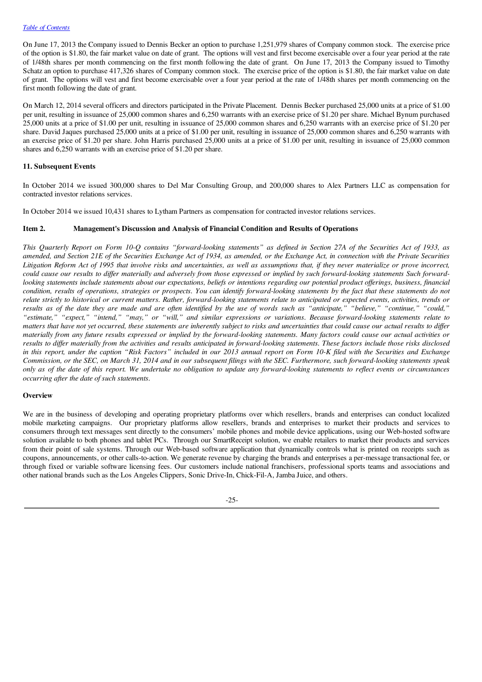On June 17, 2013 the Company issued to Dennis Becker an option to purchase 1,251,979 shares of Company common stock. The exercise price of the option is \$1.80, the fair market value on date of grant. The options will vest and first become exercisable over a four year period at the rate of 1/48th shares per month commencing on the first month following the date of grant. On June 17, 2013 the Company issued to Timothy Schatz an option to purchase 417,326 shares of Company common stock. The exercise price of the option is \$1.80, the fair market value on date of grant. The options will vest and first become exercisable over a four year period at the rate of 1/48th shares per month commencing on the first month following the date of grant.

On March 12, 2014 several officers and directors participated in the Private Placement. Dennis Becker purchased 25,000 units at a price of \$1.00 per unit, resulting in issuance of 25,000 common shares and 6,250 warrants with an exercise price of \$1.20 per share. Michael Bynum purchased 25,000 units at a price of \$1.00 per unit, resulting in issuance of 25,000 common shares and 6,250 warrants with an exercise price of \$1.20 per share. David Jaques purchased 25,000 units at a price of \$1.00 per unit, resulting in issuance of 25,000 common shares and 6,250 warrants with an exercise price of \$1.20 per share. John Harris purchased 25,000 units at a price of \$1.00 per unit, resulting in issuance of 25,000 common shares and 6,250 warrants with an exercise price of \$1.20 per share.

## 11. Subsequent Events

In October 2014 we issued 300,000 shares to Del Mar Consulting Group, and 200,000 shares to Alex Partners LLC as compensation for contracted investor relations services.

In October 2014 we issued 10,431 shares to Lytham Partners as compensation for contracted investor relations services.

### Item 2. Management's Discussion and Analysis of Financial Condition and Results of Operations

<span id="page-26-0"></span>This Quarterly Report on Form 10-Q contains "forward-looking statements" as defined in Section 27A of the Securities Act of 1933, as amended, and Section 21E of the Securities Exchange Act of 1934, as amended, or the Exchange Act, in connection with the Private Securities Litigation Reform Act of 1995 that involve risks and uncertainties, as well as assumptions that, if they never materialize or prove incorrect, could cause our results to differ materially and adversely from those expressed or implied by such forward-looking statements Such forwardlooking statements include statements about our expectations, beliefs or intentions regarding our potential product offerings, business, financial condition, results of operations, strategies or prospects. You can identify forward-looking statements by the fact that these statements do not relate strictly to historical or current matters. Rather, forward-looking statements relate to anticipated or expected events, activities, trends or results as of the date they are made and are often identified by the use of words such as "anticipate," "believe," "continue," "could," "estimate," "expect," "intend," "may," or "will," and similar expressions or variations. Because forward-looking statements relate to matters that have not yet occurred, these statements are inherently subject to risks and uncertainties that could cause our actual results to differ materially from any future results expressed or implied by the forward-looking statements. Many factors could cause our actual activities or results to differ materially from the activities and results anticipated in forward-looking statements. These factors include those risks disclosed in this report, under the caption "Risk Factors" included in our 2013 annual report on Form 10-K filed with the Securities and Exchange Commission, or the SEC, on March 31, 2014 and in our subsequent filings with the SEC. Furthermore, such forward-looking statements speak only as of the date of this report. We undertake no obligation to update any forward-looking statements to reflect events or circumstances *occurring after the date of such statements.*

### **Overview**

We are in the business of developing and operating proprietary platforms over which resellers, brands and enterprises can conduct localized mobile marketing campaigns. Our proprietary platforms allow resellers, brands and enterprises to market their products and services to consumers through text messages sent directly to the consumers' mobile phones and mobile device applications, using our Web-hosted software solution available to both phones and tablet PCs. Through our SmartReceipt solution, we enable retailers to market their products and services from their point of sale systems. Through our Web-based software application that dynamically controls what is printed on receipts such as coupons, announcements, or other calls-to-action. We generate revenue by charging the brands and enterprises a per-message transactional fee, or through fixed or variable software licensing fees. Our customers include national franchisers, professional sports teams and associations and other national brands such as the Los Angeles Clippers, Sonic Drive-In, Chick-Fil-A, Jamba Juice, and others.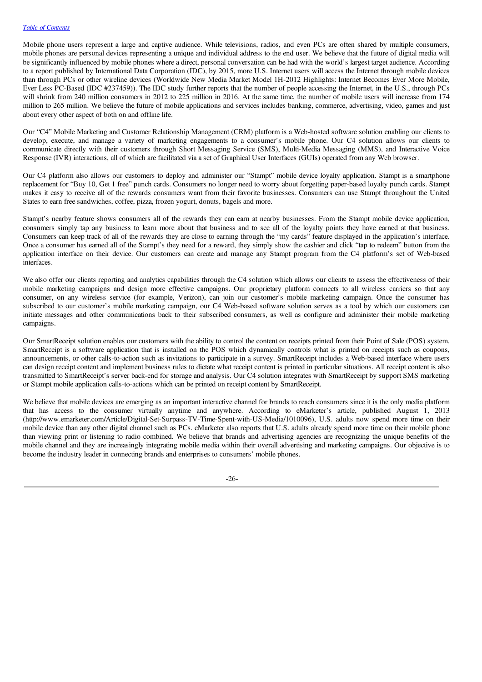Mobile phone users represent a large and captive audience. While televisions, radios, and even PCs are often shared by multiple consumers, mobile phones are personal devices representing a unique and individual address to the end user. We believe that the future of digital media will be significantly influenced by mobile phones where a direct, personal conversation can be had with the world's largest target audience. According to a report published by International Data Corporation (IDC), by 2015, more U.S. Internet users will access the Internet through mobile devices than through PCs or other wireline devices (Worldwide New Media Market Model 1H-2012 Highlights: Internet Becomes Ever More Mobile, Ever Less PC-Based (IDC #237459)). The IDC study further reports that the number of people accessing the Internet, in the U.S., through PCs will shrink from 240 million consumers in 2012 to 225 million in 2016. At the same time, the number of mobile users will increase from 174 million to 265 million. We believe the future of mobile applications and services includes banking, commerce, advertising, video, games and just about every other aspect of both on and offline life.

Our "C4" Mobile Marketing and Customer Relationship Management (CRM) platform is a Web-hosted software solution enabling our clients to develop, execute, and manage a variety of marketing engagements to a consumer's mobile phone. Our C4 solution allows our clients to communicate directly with their customers through Short Messaging Service (SMS), Multi-Media Messaging (MMS), and Interactive Voice Response (IVR) interactions, all of which are facilitated via a set of Graphical User Interfaces (GUIs) operated from any Web browser.

Our C4 platform also allows our customers to deploy and administer our "Stampt" mobile device loyalty application. Stampt is a smartphone replacement for "Buy 10, Get 1 free" punch cards. Consumers no longer need to worry about forgetting paper-based loyalty punch cards. Stampt makes it easy to receive all of the rewards consumers want from their favorite businesses. Consumers can use Stampt throughout the United States to earn free sandwiches, coffee, pizza, frozen yogurt, donuts, bagels and more.

Stampt's nearby feature shows consumers all of the rewards they can earn at nearby businesses. From the Stampt mobile device application, consumers simply tap any business to learn more about that business and to see all of the loyalty points they have earned at that business. Consumers can keep track of all of the rewards they are close to earning through the "my cards" feature displayed in the application's interface. Once a consumer has earned all of the Stampt's they need for a reward, they simply show the cashier and click "tap to redeem" button from the application interface on their device. Our customers can create and manage any Stampt program from the C4 platform's set of Web-based interfaces.

We also offer our clients reporting and analytics capabilities through the C4 solution which allows our clients to assess the effectiveness of their mobile marketing campaigns and design more effective campaigns. Our proprietary platform connects to all wireless carriers so that any consumer, on any wireless service (for example, Verizon), can join our customer's mobile marketing campaign. Once the consumer has subscribed to our customer's mobile marketing campaign, our C4 Web-based software solution serves as a tool by which our customers can initiate messages and other communications back to their subscribed consumers, as well as configure and administer their mobile marketing campaigns.

Our SmartReceipt solution enables our customers with the ability to control the content on receipts printed from their Point of Sale (POS) system. SmartReceipt is a software application that is installed on the POS which dynamically controls what is printed on receipts such as coupons, announcements, or other calls-to-action such as invitations to participate in a survey. SmartReceipt includes a Web-based interface where users can design receipt content and implement business rules to dictate what receipt content is printed in particular situations. All receipt content is also transmitted to SmartReceipt's server back-end for storage and analysis. Our C4 solution integrates with SmartReceipt by support SMS marketing or Stampt mobile application calls-to-actions which can be printed on receipt content by SmartReceipt.

We believe that mobile devices are emerging as an important interactive channel for brands to reach consumers since it is the only media platform that has access to the consumer virtually anytime and anywhere. According to eMarketer's article, published August 1, 2013 (http://www.emarketer.com/Article/Digital-Set-Surpass-TV-Time-Spent-with-US-Media/1010096), U.S. adults now spend more time on their mobile device than any other digital channel such as PCs. eMarketer also reports that U.S. adults already spend more time on their mobile phone than viewing print or listening to radio combined. We believe that brands and advertising agencies are recognizing the unique benefits of the mobile channel and they are increasingly integrating mobile media within their overall advertising and marketing campaigns. Our objective is to become the industry leader in connecting brands and enterprises to consumers' mobile phones.

-26-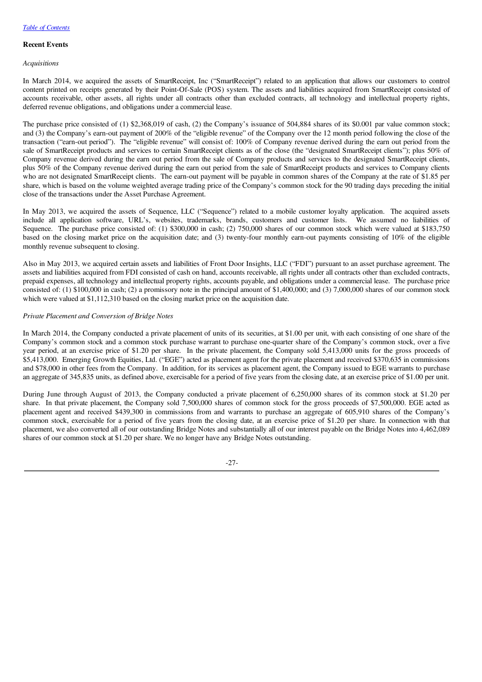#### Recent Events

#### *Acquisitions*

In March 2014, we acquired the assets of SmartReceipt, Inc ("SmartReceipt") related to an application that allows our customers to control content printed on receipts generated by their Point-Of-Sale (POS) system. The assets and liabilities acquired from SmartReceipt consisted of accounts receivable, other assets, all rights under all contracts other than excluded contracts, all technology and intellectual property rights, deferred revenue obligations, and obligations under a commercial lease.

The purchase price consisted of (1) \$2,368,019 of cash, (2) the Company's issuance of 504,884 shares of its \$0.001 par value common stock; and (3) the Company's earn-out payment of 200% of the "eligible revenue" of the Company over the 12 month period following the close of the transaction ("earn-out period"). The "eligible revenue" will consist of: 100% of Company revenue derived during the earn out period from the sale of SmartReceipt products and services to certain SmartReceipt clients as of the close (the "designated SmartReceipt clients"); plus 50% of Company revenue derived during the earn out period from the sale of Company products and services to the designated SmartReceipt clients, plus 50% of the Company revenue derived during the earn out period from the sale of SmartReceipt products and services to Company clients who are not designated SmartReceipt clients. The earn-out payment will be payable in common shares of the Company at the rate of \$1.85 per share, which is based on the volume weighted average trading price of the Company's common stock for the 90 trading days preceding the initial close of the transactions under the Asset Purchase Agreement.

In May 2013, we acquired the assets of Sequence, LLC ("Sequence") related to a mobile customer loyalty application. The acquired assets include all application software, URL's, websites, trademarks, brands, customers and customer lists. We assumed no liabilities of Sequence. The purchase price consisted of: (1) \$300,000 in cash; (2) 750,000 shares of our common stock which were valued at \$183,750 based on the closing market price on the acquisition date; and (3) twenty-four monthly earn-out payments consisting of 10% of the eligible monthly revenue subsequent to closing.

Also in May 2013, we acquired certain assets and liabilities of Front Door Insights, LLC ("FDI") pursuant to an asset purchase agreement. The assets and liabilities acquired from FDI consisted of cash on hand, accounts receivable, all rights under all contracts other than excluded contracts, prepaid expenses, all technology and intellectual property rights, accounts payable, and obligations under a commercial lease. The purchase price consisted of: (1) \$100,000 in cash; (2) a promissory note in the principal amount of \$1,400,000; and (3) 7,000,000 shares of our common stock which were valued at \$1,112,310 based on the closing market price on the acquisition date.

#### *Private Placement and Conversion of Bridge Notes*

In March 2014, the Company conducted a private placement of units of its securities, at \$1.00 per unit, with each consisting of one share of the Company's common stock and a common stock purchase warrant to purchase one-quarter share of the Company's common stock, over a five year period, at an exercise price of \$1.20 per share. In the private placement, the Company sold 5,413,000 units for the gross proceeds of \$5,413,000. Emerging Growth Equities, Ltd. ("EGE") acted as placement agent for the private placement and received \$370,635 in commissions and \$78,000 in other fees from the Company. In addition, for its services as placement agent, the Company issued to EGE warrants to purchase an aggregate of 345,835 units, as defined above, exercisable for a period of five years from the closing date, at an exercise price of \$1.00 per unit.

During June through August of 2013, the Company conducted a private placement of 6,250,000 shares of its common stock at \$1.20 per share. In that private placement, the Company sold 7,500,000 shares of common stock for the gross proceeds of \$7,500,000. EGE acted as placement agent and received \$439,300 in commissions from and warrants to purchase an aggregate of 605,910 shares of the Company's common stock, exercisable for a period of five years from the closing date, at an exercise price of \$1.20 per share. In connection with that placement, we also converted all of our outstanding Bridge Notes and substantially all of our interest payable on the Bridge Notes into 4,462,089 shares of our common stock at \$1.20 per share. We no longer have any Bridge Notes outstanding.

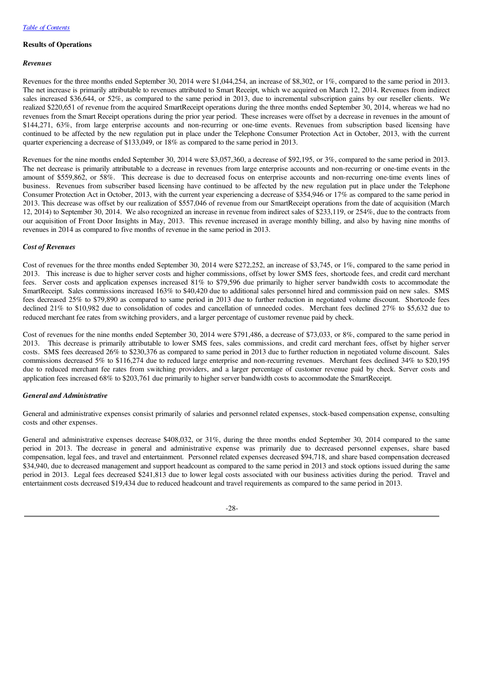#### Results of Operations

#### *Revenues*

Revenues for the three months ended September 30, 2014 were \$1,044,254, an increase of \$8,302, or 1%, compared to the same period in 2013. The net increase is primarily attributable to revenues attributed to Smart Receipt, which we acquired on March 12, 2014. Revenues from indirect sales increased \$36,644, or 52%, as compared to the same period in 2013, due to incremental subscription gains by our reseller clients. We realized \$220,651 of revenue from the acquired SmartReceipt operations during the three months ended September 30, 2014, whereas we had no revenues from the Smart Receipt operations during the prior year period. These increases were offset by a decrease in revenues in the amount of \$144,271, 63%, from large enterprise accounts and non-recurring or one-time events. Revenues from subscription based licensing have continued to be affected by the new regulation put in place under the Telephone Consumer Protection Act in October, 2013, with the current quarter experiencing a decrease of \$133,049, or 18% as compared to the same period in 2013.

Revenues for the nine months ended September 30, 2014 were \$3,057,360, a decrease of \$92,195, or 3%, compared to the same period in 2013. The net decrease is primarily attributable to a decrease in revenues from large enterprise accounts and non-recurring or one-time events in the amount of \$559,862, or 58%. This decrease is due to decreased focus on enterprise accounts and non-recurring one-time events lines of business. Revenues from subscriber based licensing have continued to be affected by the new regulation put in place under the Telephone Consumer Protection Act in October, 2013, with the current year experiencing a decrease of \$354,946 or 17% as compared to the same period in 2013. This decrease was offset by our realization of \$557,046 of revenue from our SmartReceipt operations from the date of acquisition (March 12, 2014) to September 30, 2014. We also recognized an increase in revenue from indirect sales of \$233,119, or 254%, due to the contracts from our acquisition of Front Door Insights in May, 2013. This revenue increased in average monthly billing, and also by having nine months of revenues in 2014 as compared to five months of revenue in the same period in 2013.

#### *Cost of Revenues*

Cost of revenues for the three months ended September 30, 2014 were \$272,252, an increase of \$3,745, or 1%, compared to the same period in 2013. This increase is due to higher server costs and higher commissions, offset by lower SMS fees, shortcode fees, and credit card merchant fees. Server costs and application expenses increased 81% to \$79,596 due primarily to higher server bandwidth costs to accommodate the SmartReceipt. Sales commissions increased 163% to \$40,420 due to additional sales personnel hired and commission paid on new sales. SMS fees decreased 25% to \$79,890 as compared to same period in 2013 due to further reduction in negotiated volume discount. Shortcode fees declined 21% to \$10,982 due to consolidation of codes and cancellation of unneeded codes. Merchant fees declined 27% to \$5,632 due to reduced merchant fee rates from switching providers, and a larger percentage of customer revenue paid by check.

Cost of revenues for the nine months ended September 30, 2014 were \$791,486, a decrease of \$73,033, or 8%, compared to the same period in 2013. This decrease is primarily attributable to lower SMS fees, sales commissions, and credit card merchant fees, offset by higher server costs. SMS fees decreased 26% to \$230,376 as compared to same period in 2013 due to further reduction in negotiated volume discount. Sales commissions decreased 5% to \$116,274 due to reduced large enterprise and non-recurring revenues. Merchant fees declined 34% to \$20,195 due to reduced merchant fee rates from switching providers, and a larger percentage of customer revenue paid by check. Server costs and application fees increased 68% to \$203,761 due primarily to higher server bandwidth costs to accommodate the SmartReceipt.

### *General and Administrative*

General and administrative expenses consist primarily of salaries and personnel related expenses, stock-based compensation expense, consulting costs and other expenses.

General and administrative expenses decrease \$408,032, or 31%, during the three months ended September 30, 2014 compared to the same period in 2013. The decrease in general and administrative expense was primarily due to decreased personnel expenses, share based compensation, legal fees, and travel and entertainment. Personnel related expenses decreased \$94,718, and share based compensation decreased \$34,940, due to decreased management and support headcount as compared to the same period in 2013 and stock options issued during the same period in 2013. Legal fees decreased \$241,813 due to lower legal costs associated with our business activities during the period. Travel and entertainment costs decreased \$19,434 due to reduced headcount and travel requirements as compared to the same period in 2013.

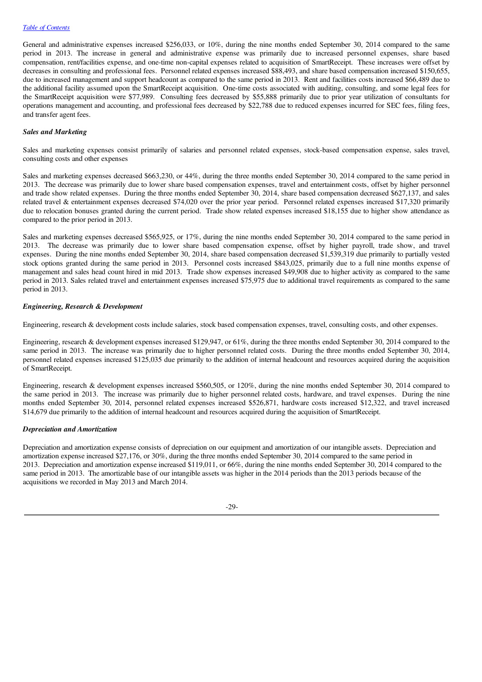General and administrative expenses increased \$256,033, or 10%, during the nine months ended September 30, 2014 compared to the same period in 2013. The increase in general and administrative expense was primarily due to increased personnel expenses, share based compensation, rent/facilities expense, and one-time non-capital expenses related to acquisition of SmartReceipt. These increases were offset by decreases in consulting and professional fees. Personnel related expenses increased \$88,493, and share based compensation increased \$150,655, due to increased management and support headcount as compared to the same period in 2013. Rent and facilities costs increased \$66,489 due to the additional facility assumed upon the SmartReceipt acquisition. One-time costs associated with auditing, consulting, and some legal fees for the SmartReceipt acquisition were \$77,989. Consulting fees decreased by \$55,888 primarily due to prior year utilization of consultants for operations management and accounting, and professional fees decreased by \$22,788 due to reduced expenses incurred for SEC fees, filing fees, and transfer agent fees.

#### *Sales and Marketing*

Sales and marketing expenses consist primarily of salaries and personnel related expenses, stock-based compensation expense, sales travel, consulting costs and other expenses

Sales and marketing expenses decreased \$663,230, or 44%, during the three months ended September 30, 2014 compared to the same period in 2013. The decrease was primarily due to lower share based compensation expenses, travel and entertainment costs, offset by higher personnel and trade show related expenses. During the three months ended September 30, 2014, share based compensation decreased \$627,137, and sales related travel & entertainment expenses decreased \$74,020 over the prior year period. Personnel related expenses increased \$17,320 primarily due to relocation bonuses granted during the current period. Trade show related expenses increased \$18,155 due to higher show attendance as compared to the prior period in 2013.

Sales and marketing expenses decreased \$565,925, or 17%, during the nine months ended September 30, 2014 compared to the same period in 2013. The decrease was primarily due to lower share based compensation expense, offset by higher payroll, trade show, and travel expenses. During the nine months ended September 30, 2014, share based compensation decreased \$1,539,319 due primarily to partially vested stock options granted during the same period in 2013. Personnel costs increased \$843,025, primarily due to a full nine months expense of management and sales head count hired in mid 2013. Trade show expenses increased \$49,908 due to higher activity as compared to the same period in 2013. Sales related travel and entertainment expenses increased \$75,975 due to additional travel requirements as compared to the same period in 2013.

#### *Engineering, Research & Development*

Engineering, research & development costs include salaries, stock based compensation expenses, travel, consulting costs, and other expenses.

Engineering, research & development expenses increased \$129,947, or 61%, during the three months ended September 30, 2014 compared to the same period in 2013. The increase was primarily due to higher personnel related costs. During the three months ended September 30, 2014, personnel related expenses increased \$125,035 due primarily to the addition of internal headcount and resources acquired during the acquisition of SmartReceipt.

Engineering, research & development expenses increased \$560,505, or 120%, during the nine months ended September 30, 2014 compared to the same period in 2013. The increase was primarily due to higher personnel related costs, hardware, and travel expenses. During the nine months ended September 30, 2014, personnel related expenses increased \$526,871, hardware costs increased \$12,322, and travel increased \$14,679 due primarily to the addition of internal headcount and resources acquired during the acquisition of SmartReceipt.

### *Depreciation and Amortization*

Depreciation and amortization expense consists of depreciation on our equipment and amortization of our intangible assets. Depreciation and amortization expense increased \$27,176, or 30%, during the three months ended September 30, 2014 compared to the same period in 2013. Depreciation and amortization expense increased \$119,011, or 66%, during the nine months ended September 30, 2014 compared to the same period in 2013. The amortizable base of our intangible assets was higher in the 2014 periods than the 2013 periods because of the acquisitions we recorded in May 2013 and March 2014.

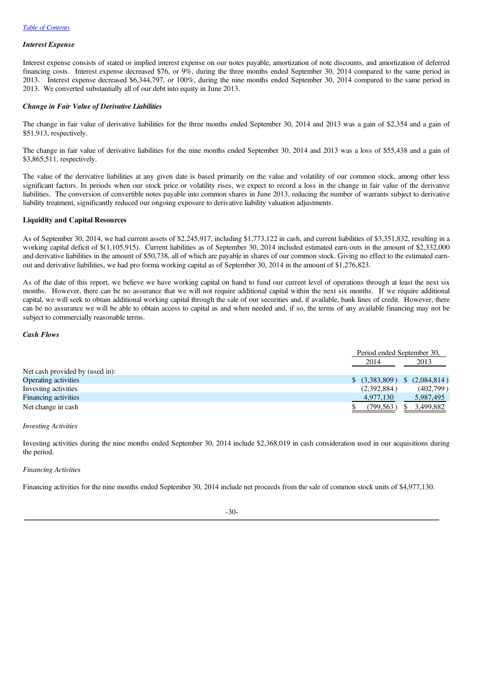#### *Interest Expense*

Interest expense consists of stated or implied interest expense on our notes payable, amortization of note discounts, and amortization of deferred financing costs. Interest expense decreased \$76, or 9%, during the three months ended September 30, 2014 compared to the same period in 2013. Interest expense decreased \$6,344,797, or 100%, during the nine months ended September 30, 2014 compared to the same period in 2013. We converted substantially all of our debt into equity in June 2013.

#### *Change in Fair Value of Derivative Liabilities*

The change in fair value of derivative liabilities for the three months ended September 30, 2014 and 2013 was a gain of \$2,354 and a gain of \$51,913, respectively.

The change in fair value of derivative liabilities for the nine months ended September 30, 2014 and 2013 was a loss of \$55,438 and a gain of \$3,865,511, respectively.

The value of the derivative liabilities at any given date is based primarily on the value and volatility of our common stock, among other less significant factors. In periods when our stock price or volatility rises, we expect to record a loss in the change in fair value of the derivative liabilities. The conversion of convertible notes payable into common shares in June 2013, reducing the number of warrants subject to derivative liability treatment, significantly reduced our ongoing exposure to derivative liability valuation adjustments.

#### Liquidity and Capital Resources

As of September 30, 2014, we had current assets of \$2,245,917, including \$1,773,122 in cash, and current liabilities of \$3,351,832, resulting in a working capital deficit of  $\{(1, 105, 915)\}$ . Current liabilities as of September 30, 2014 included estimated earn-outs in the amount of \$2,332,000 and derivative liabilities in the amount of \$50,738, all of which are payable in shares of our common stock. Giving no effect to the estimated earnout and derivative liabilities, we had pro forma working capital as of September 30, 2014 in the amount of \$1,276,823.

As of the date of this report, we believe we have working capital on hand to fund our current level of operations through at least the next six months. However, there can be no assurance that we will not require additional capital within the next six months. If we require additional capital, we will seek to obtain additional working capital through the sale of our securities and, if available, bank lines of credit. However, there can be no assurance we will be able to obtain access to capital as and when needed and, if so, the terms of any available financing may not be subject to commercially reasonable terms.

# *Cash Flows*

|                                 |                | Period ended September 30,  |  |  |
|---------------------------------|----------------|-----------------------------|--|--|
|                                 | 2014           | 2013                        |  |  |
| Net cash provided by (used in): |                |                             |  |  |
| <b>Operating activities</b>     | \$ (3,383,809) | (2,084,814)<br>$\mathbb{S}$ |  |  |
| Investing activities            | (2,392,884)    | (402,799)                   |  |  |
| <b>Financing activities</b>     | 4,977,130      | 5,987,495                   |  |  |
| Net change in cash              | (799, 563)     | 3,499,882                   |  |  |

#### *Investing Activities*

Investing activities during the nine months ended September 30, 2014 include \$2,368,019 in cash consideration used in our acquisitions during the period.

#### *Financing Activities*

Financing activities for the nine months ended September 30, 2014 include net proceeds from the sale of common stock units of \$4,977,130.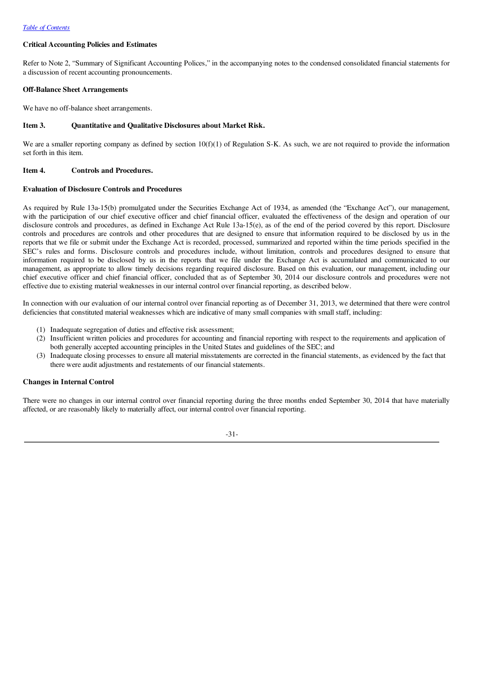## Critical Accounting Policies and Estimates

Refer to Note 2, "Summary of Significant Accounting Polices," in the accompanying notes to the condensed consolidated financial statements for a discussion of recent accounting pronouncements.

# Off-Balance Sheet Arrangements

We have no off-balance sheet arrangements.

# <span id="page-32-0"></span>Item 3. Quantitative and Qualitative Disclosures about Market Risk.

We are a smaller reporting company as defined by section  $10(f)(1)$  of Regulation S-K. As such, we are not required to provide the information set forth in this item.

# <span id="page-32-1"></span>Item 4. Controls and Procedures.

# Evaluation of Disclosure Controls and Procedures

As required by Rule 13a-15(b) promulgated under the Securities Exchange Act of 1934, as amended (the "Exchange Act"), our management, with the participation of our chief executive officer and chief financial officer, evaluated the effectiveness of the design and operation of our disclosure controls and procedures, as defined in Exchange Act Rule 13a-15(e), as of the end of the period covered by this report. Disclosure controls and procedures are controls and other procedures that are designed to ensure that information required to be disclosed by us in the reports that we file or submit under the Exchange Act is recorded, processed, summarized and reported within the time periods specified in the SEC's rules and forms. Disclosure controls and procedures include, without limitation, controls and procedures designed to ensure that information required to be disclosed by us in the reports that we file under the Exchange Act is accumulated and communicated to our management, as appropriate to allow timely decisions regarding required disclosure. Based on this evaluation, our management, including our chief executive officer and chief financial officer, concluded that as of September 30, 2014 our disclosure controls and procedures were not effective due to existing material weaknesses in our internal control over financial reporting, as described below.

In connection with our evaluation of our internal control over financial reporting as of December 31, 2013, we determined that there were control deficiencies that constituted material weaknesses which are indicative of many small companies with small staff, including:

- (1) Inadequate segregation of duties and effective risk assessment;
- (2) Insufficient written policies and procedures for accounting and financial reporting with respect to the requirements and application of both generally accepted accounting principles in the United States and guidelines of the SEC; and
- (3) Inadequate closing processes to ensure all material misstatements are corrected in the financial statements, as evidenced by the fact that there were audit adjustments and restatements of our financial statements.

# Changes in Internal Control

There were no changes in our internal control over financial reporting during the three months ended September 30, 2014 that have materially affected, or are reasonably likely to materially affect, our internal control over financial reporting.

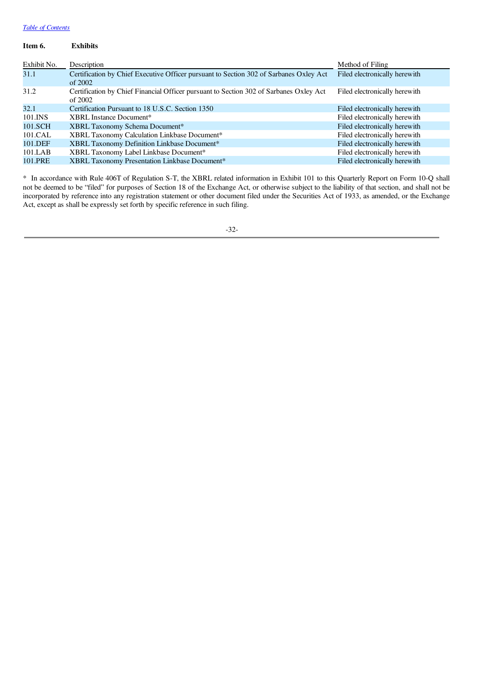## *Table of [Contents](#page-1-0)*

<span id="page-33-0"></span>

| Item 6.     | <b>Exhibits</b>                                                                                     |                               |
|-------------|-----------------------------------------------------------------------------------------------------|-------------------------------|
| Exhibit No. | Description                                                                                         | Method of Filing              |
| 31.1        | Certification by Chief Executive Officer pursuant to Section 302 of Sarbanes Oxley Act<br>of 2002   | Filed electronically herewith |
| 31.2        | Certification by Chief Financial Officer pursuant to Section 302 of Sarbanes Oxley Act<br>of $2002$ | Filed electronically herewith |
| 32.1        | Certification Pursuant to 18 U.S.C. Section 1350                                                    | Filed electronically herewith |
| 101.INS     | XBRL Instance Document*                                                                             | Filed electronically herewith |
| 101.SCH     | XBRL Taxonomy Schema Document*                                                                      | Filed electronically herewith |
| 101.CAL     | XBRL Taxonomy Calculation Linkbase Document*                                                        | Filed electronically herewith |
| 101.DEF     | XBRL Taxonomy Definition Linkbase Document*                                                         | Filed electronically herewith |
| 101.LAB     | XBRL Taxonomy Label Linkbase Document*                                                              | Filed electronically herewith |
| 101.PRE     | XBRL Taxonomy Presentation Linkbase Document*                                                       | Filed electronically herewith |

\* In accordance with Rule 406T of Regulation S-T, the XBRL related information in Exhibit 101 to this Quarterly Report on Form 10-Q shall not be deemed to be "filed" for purposes of Section 18 of the Exchange Act, or otherwise subject to the liability of that section, and shall not be incorporated by reference into any registration statement or other document filed under the Securities Act of 1933, as amended, or the Exchange Act, except as shall be expressly set forth by specific reference in such filing.

-32-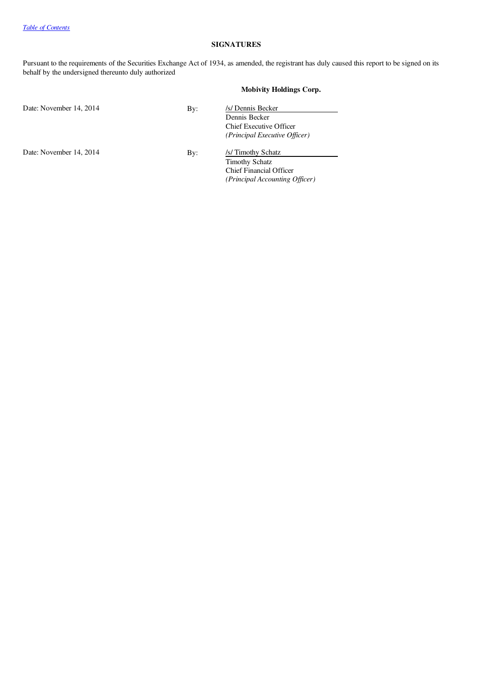# <span id="page-34-0"></span>SIGNATURES

Pursuant to the requirements of the Securities Exchange Act of 1934, as amended, the registrant has duly caused this report to be signed on its behalf by the undersigned thereunto duly authorized

| Date: November 14, 2014 | $\mathbf{By:}$ | /s/ Dennis Becker<br>Dennis Becker<br>Chief Executive Officer<br><i>(Principal Executive Officer)</i>           |
|-------------------------|----------------|-----------------------------------------------------------------------------------------------------------------|
| Date: November 14, 2014 | By:            | /s/ Timothy Schatz<br><b>Timothy Schatz</b><br><b>Chief Financial Officer</b><br>(Principal Accounting Officer) |

# Mobivity Holdings Corp.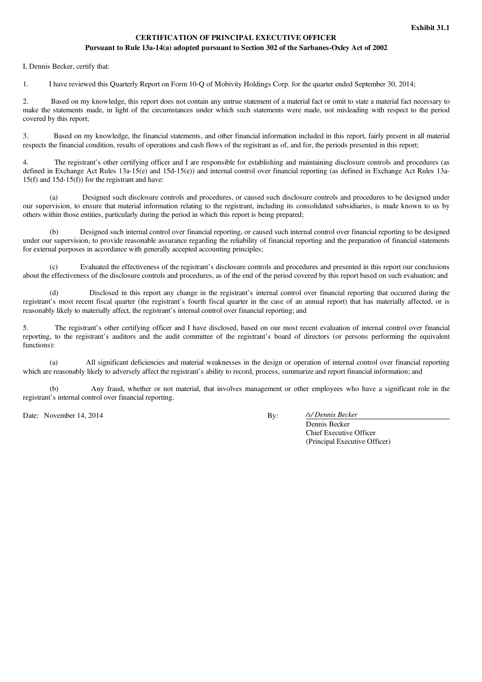# CERTIFICATION OF PRINCIPAL EXECUTIVE OFFICER

# Pursuant to Rule 13a-14(a) adopted pursuant to Section 302 of the Sarbanes-Oxley Act of 2002

I, Dennis Becker, certify that:

1. I have reviewed this Quarterly Report on Form 10-Q of Mobivity Holdings Corp. for the quarter ended September 30, 2014;

2. Based on my knowledge, this report does not contain any untrue statement of a material fact or omit to state a material fact necessary to make the statements made, in light of the circumstances under which such statements were made, not misleading with respect to the period covered by this report;

3. Based on my knowledge, the financial statements, and other financial information included in this report, fairly present in all material respects the financial condition, results of operations and cash flows of the registrant as of, and for, the periods presented in this report;

4. The registrant's other certifying officer and I are responsible for establishing and maintaining disclosure controls and procedures (as defined in Exchange Act Rules 13a-15(e) and 15d-15(e)) and internal control over financial reporting (as defined in Exchange Act Rules 13a-15(f) and 15d-15(f)) for the registrant and have:

Designed such disclosure controls and procedures, or caused such disclosure controls and procedures to be designed under our supervision, to ensure that material information relating to the registrant, including its consolidated subsidiaries, is made known to us by others within those entities, particularly during the period in which this report is being prepared;

Designed such internal control over financial reporting, or caused such internal control over financial reporting to be designed under our supervision, to provide reasonable assurance regarding the reliability of financial reporting and the preparation of financial statements for external purposes in accordance with generally accepted accounting principles;

(c) Evaluated the effectiveness of the registrant's disclosure controls and procedures and presented in this report our conclusions about the effectiveness of the disclosure controls and procedures, as of the end of the period covered by this report based on such evaluation; and

(d) Disclosed in this report any change in the registrant's internal control over financial reporting that occurred during the registrant's most recent fiscal quarter (the registrant's fourth fiscal quarter in the case of an annual report) that has materially affected, or is reasonably likely to materially affect, the registrant's internal control over financial reporting; and

5. The registrant's other certifying officer and I have disclosed, based on our most recent evaluation of internal control over financial reporting, to the registrant's auditors and the audit committee of the registrant's board of directors (or persons performing the equivalent functions):

(a) All significant deficiencies and material weaknesses in the design or operation of internal control over financial reporting which are reasonably likely to adversely affect the registrant's ability to record, process, summarize and report financial information; and

(b) Any fraud, whether or not material, that involves management or other employees who have a significant role in the registrant's internal control over financial reporting.

Date: November 14, 2014 By: */s/ Dennis Becker* 

Dennis Becker Chief Executive Officer (Principal Executive Officer)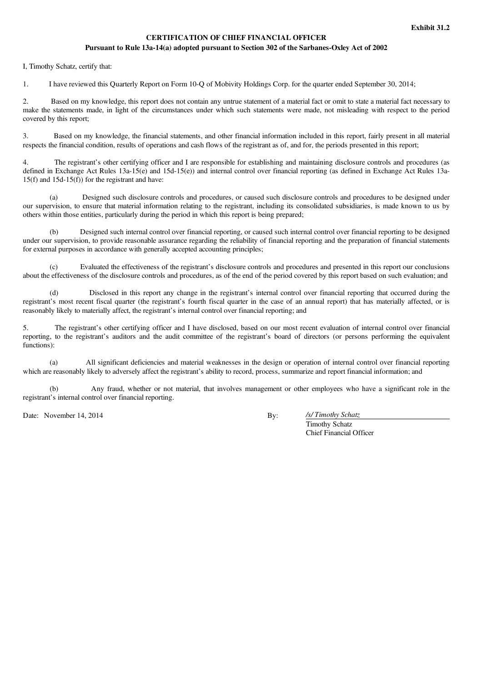# CERTIFICATION OF CHIEF FINANCIAL OFFICER

# Pursuant to Rule 13a-14(a) adopted pursuant to Section 302 of the Sarbanes-Oxley Act of 2002

I, Timothy Schatz, certify that:

1. I have reviewed this Quarterly Report on Form 10-Q of Mobivity Holdings Corp. for the quarter ended September 30, 2014;

2. Based on my knowledge, this report does not contain any untrue statement of a material fact or omit to state a material fact necessary to make the statements made, in light of the circumstances under which such statements were made, not misleading with respect to the period covered by this report;

3. Based on my knowledge, the financial statements, and other financial information included in this report, fairly present in all material respects the financial condition, results of operations and cash flows of the registrant as of, and for, the periods presented in this report;

4. The registrant's other certifying officer and I are responsible for establishing and maintaining disclosure controls and procedures (as defined in Exchange Act Rules 13a-15(e) and 15d-15(e)) and internal control over financial reporting (as defined in Exchange Act Rules 13a-15(f) and 15d-15(f)) for the registrant and have:

Designed such disclosure controls and procedures, or caused such disclosure controls and procedures to be designed under our supervision, to ensure that material information relating to the registrant, including its consolidated subsidiaries, is made known to us by others within those entities, particularly during the period in which this report is being prepared;

Designed such internal control over financial reporting, or caused such internal control over financial reporting to be designed under our supervision, to provide reasonable assurance regarding the reliability of financial reporting and the preparation of financial statements for external purposes in accordance with generally accepted accounting principles;

(c) Evaluated the effectiveness of the registrant's disclosure controls and procedures and presented in this report our conclusions about the effectiveness of the disclosure controls and procedures, as of the end of the period covered by this report based on such evaluation; and

(d) Disclosed in this report any change in the registrant's internal control over financial reporting that occurred during the registrant's most recent fiscal quarter (the registrant's fourth fiscal quarter in the case of an annual report) that has materially affected, or is reasonably likely to materially affect, the registrant's internal control over financial reporting; and

5. The registrant's other certifying officer and I have disclosed, based on our most recent evaluation of internal control over financial reporting, to the registrant's auditors and the audit committee of the registrant's board of directors (or persons performing the equivalent functions):

(a) All significant deficiencies and material weaknesses in the design or operation of internal control over financial reporting which are reasonably likely to adversely affect the registrant's ability to record, process, summarize and report financial information; and

(b) Any fraud, whether or not material, that involves management or other employees who have a significant role in the registrant's internal control over financial reporting.

Date: November 14, 2014 By: */s/Timothy Schatz* 

Timothy Schatz Chief Financial Officer